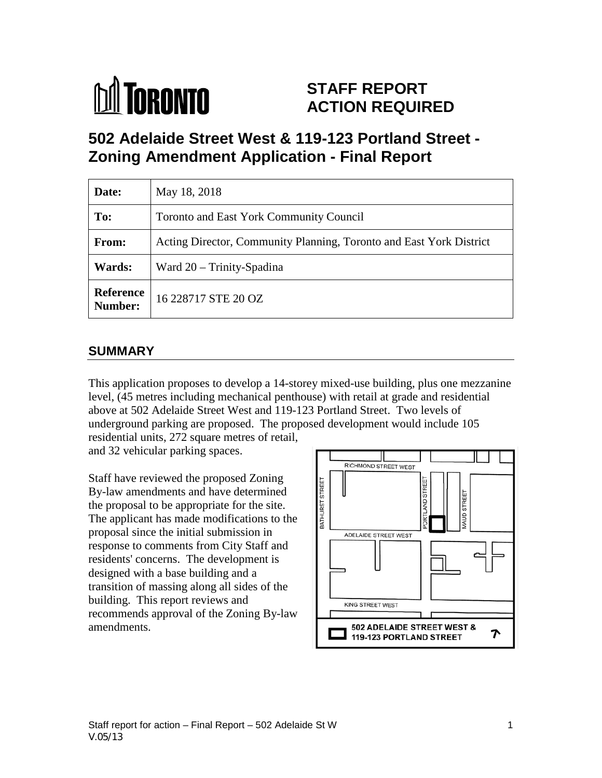

# **STAFF REPORT ACTION REQUIRED**

**502 Adelaide Street West & 119-123 Portland Street - Zoning Amendment Application - Final Report** 

| Date:                       | May 18, 2018                                                        |
|-----------------------------|---------------------------------------------------------------------|
| To:                         | <b>Toronto and East York Community Council</b>                      |
| From:                       | Acting Director, Community Planning, Toronto and East York District |
| Wards:                      | Ward $20 -$ Trinity-Spadina                                         |
| <b>Reference</b><br>Number: | 16 228717 STE 20 OZ                                                 |

### **SUMMARY**

This application proposes to develop a 14-storey mixed-use building, plus one mezzanine level, (45 metres including mechanical penthouse) with retail at grade and residential above at 502 Adelaide Street West and 119-123 Portland Street. Two levels of underground parking are proposed. The proposed development would include 105

residential units, 272 square metres of retail, and 32 vehicular parking spaces.

Staff have reviewed the proposed Zoning By-law amendments and have determined the proposal to be appropriate for the site. The applicant has made modifications to the proposal since the initial submission in response to comments from City Staff and residents' concerns. The development is designed with a base building and a transition of massing along all sides of the building. This report reviews and recommends approval of the Zoning By-law amendments.

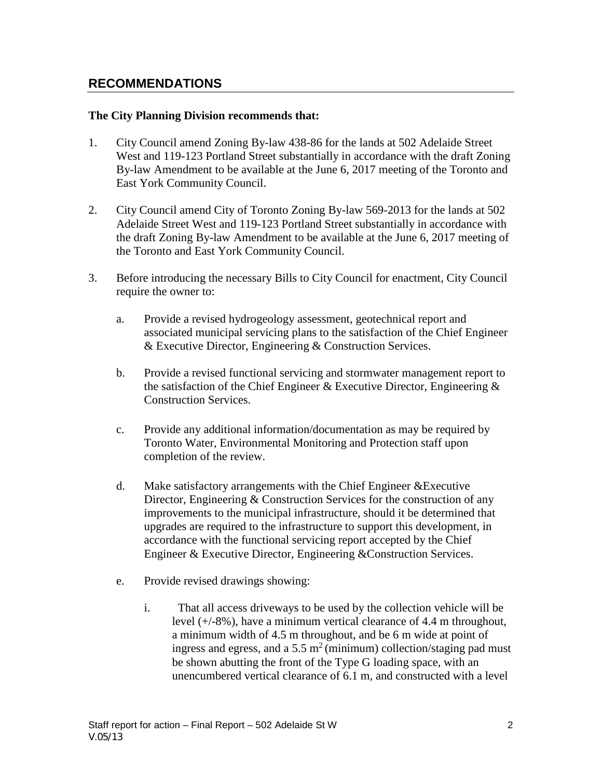### **RECOMMENDATIONS**

#### **The City Planning Division recommends that:**

- 1. City Council amend Zoning By-law 438-86 for the lands at 502 Adelaide Street West and 119-123 Portland Street substantially in accordance with the draft Zoning By-law Amendment to be available at the June 6, 2017 meeting of the Toronto and East York Community Council.
- 2. City Council amend City of Toronto Zoning By-law 569-2013 for the lands at 502 Adelaide Street West and 119-123 Portland Street substantially in accordance with the draft Zoning By-law Amendment to be available at the June 6, 2017 meeting of the Toronto and East York Community Council.
- 3. Before introducing the necessary Bills to City Council for enactment, City Council require the owner to:
	- a. Provide a revised hydrogeology assessment, geotechnical report and associated municipal servicing plans to the satisfaction of the Chief Engineer & Executive Director, Engineering & Construction Services.
	- b. Provide a revised functional servicing and stormwater management report to the satisfaction of the Chief Engineer & Executive Director, Engineering & Construction Services.
	- c. Provide any additional information/documentation as may be required by Toronto Water, Environmental Monitoring and Protection staff upon completion of the review.
	- d. Make satisfactory arrangements with the Chief Engineer &Executive Director, Engineering & Construction Services for the construction of any improvements to the municipal infrastructure, should it be determined that upgrades are required to the infrastructure to support this development, in accordance with the functional servicing report accepted by the Chief Engineer & Executive Director, Engineering &Construction Services.
	- e. Provide revised drawings showing:
		- i. That all access driveways to be used by the collection vehicle will be level (+/-8%), have a minimum vertical clearance of 4.4 m throughout, a minimum width of 4.5 m throughout, and be 6 m wide at point of ingress and egress, and a 5.5  $m<sup>2</sup>$  (minimum) collection/staging pad must be shown abutting the front of the Type G loading space, with an unencumbered vertical clearance of 6.1 m, and constructed with a level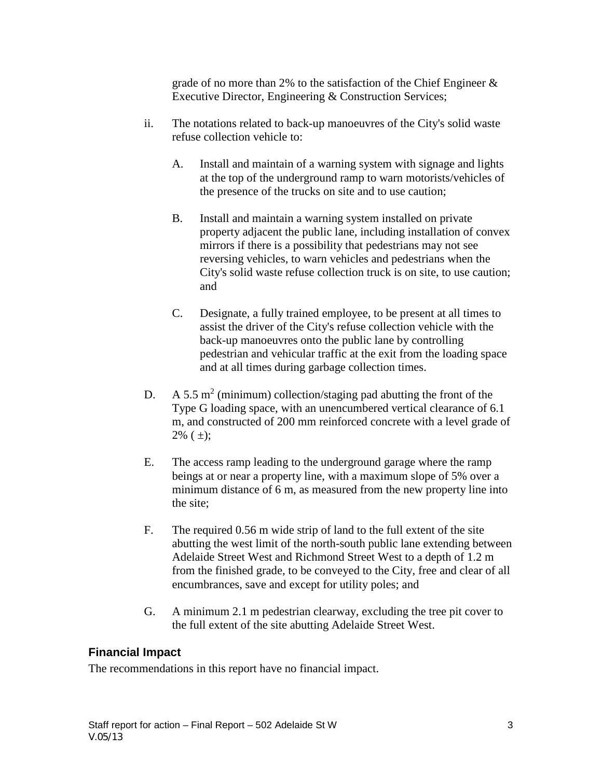grade of no more than 2% to the satisfaction of the Chief Engineer & Executive Director, Engineering & Construction Services;

- ii. The notations related to back-up manoeuvres of the City's solid waste refuse collection vehicle to:
	- A. Install and maintain of a warning system with signage and lights at the top of the underground ramp to warn motorists/vehicles of the presence of the trucks on site and to use caution;
	- B. Install and maintain a warning system installed on private property adjacent the public lane, including installation of convex mirrors if there is a possibility that pedestrians may not see reversing vehicles, to warn vehicles and pedestrians when the City's solid waste refuse collection truck is on site, to use caution; and
	- C. Designate, a fully trained employee, to be present at all times to assist the driver of the City's refuse collection vehicle with the back-up manoeuvres onto the public lane by controlling pedestrian and vehicular traffic at the exit from the loading space and at all times during garbage collection times.
- D. A 5.5 m<sup>2</sup> (minimum) collection/staging pad abutting the front of the Type G loading space, with an unencumbered vertical clearance of 6.1 m, and constructed of 200 mm reinforced concrete with a level grade of  $2\%$  ( $\pm$ );
- E. The access ramp leading to the underground garage where the ramp beings at or near a property line, with a maximum slope of 5% over a minimum distance of 6 m, as measured from the new property line into the site;
- F. The required 0.56 m wide strip of land to the full extent of the site abutting the west limit of the north-south public lane extending between Adelaide Street West and Richmond Street West to a depth of 1.2 m from the finished grade, to be conveyed to the City, free and clear of all encumbrances, save and except for utility poles; and
- G. A minimum 2.1 m pedestrian clearway, excluding the tree pit cover to the full extent of the site abutting Adelaide Street West.

### **Financial Impact**

The recommendations in this report have no financial impact.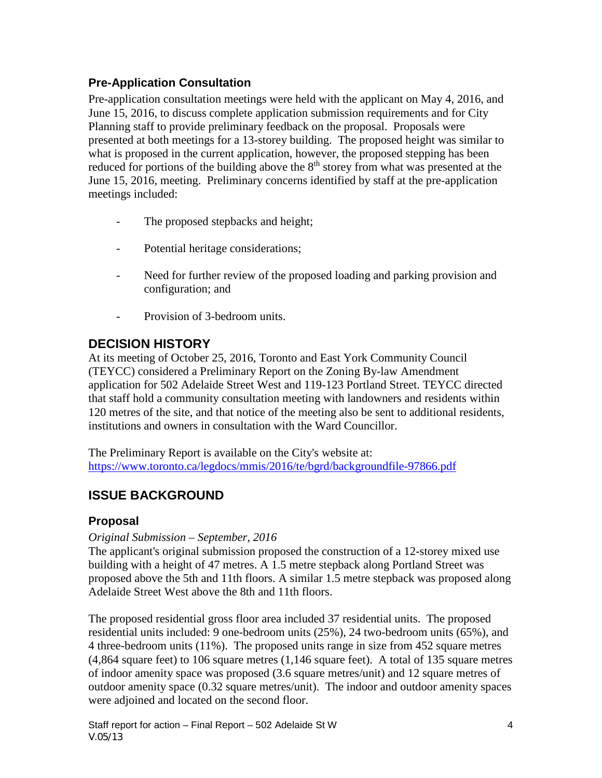### **Pre-Application Consultation**

Pre-application consultation meetings were held with the applicant on May 4, 2016, and June 15, 2016, to discuss complete application submission requirements and for City Planning staff to provide preliminary feedback on the proposal. Proposals were presented at both meetings for a 13-storey building. The proposed height was similar to what is proposed in the current application, however, the proposed stepping has been reduced for portions of the building above the  $8<sup>th</sup>$  storey from what was presented at the June 15, 2016, meeting. Preliminary concerns identified by staff at the pre-application meetings included:

- The proposed stepbacks and height;
- Potential heritage considerations;
- Need for further review of the proposed loading and parking provision and configuration; and
- Provision of 3-bedroom units.

## **DECISION HISTORY**

At its meeting of October 25, 2016, Toronto and East York Community Council (TEYCC) considered a Preliminary Report on the Zoning By-law Amendment application for 502 Adelaide Street West and 119-123 Portland Street. TEYCC directed that staff hold a community consultation meeting with landowners and residents within 120 metres of the site, and that notice of the meeting also be sent to additional residents, institutions and owners in consultation with the Ward Councillor.

The Preliminary Report is available on the City's website at: <https://www.toronto.ca/legdocs/mmis/2016/te/bgrd/backgroundfile-97866.pdf>

## **ISSUE BACKGROUND**

### **Proposal**

#### *Original Submission – September, 2016*

The applicant's original submission proposed the construction of a 12-storey mixed use building with a height of 47 metres. A 1.5 metre stepback along Portland Street was proposed above the 5th and 11th floors. A similar 1.5 metre stepback was proposed along Adelaide Street West above the 8th and 11th floors.

The proposed residential gross floor area included 37 residential units. The proposed residential units included: 9 one-bedroom units (25%), 24 two-bedroom units (65%), and 4 three-bedroom units (11%). The proposed units range in size from 452 square metres (4,864 square feet) to 106 square metres (1,146 square feet). A total of 135 square metres of indoor amenity space was proposed (3.6 square metres/unit) and 12 square metres of outdoor amenity space (0.32 square metres/unit). The indoor and outdoor amenity spaces were adjoined and located on the second floor.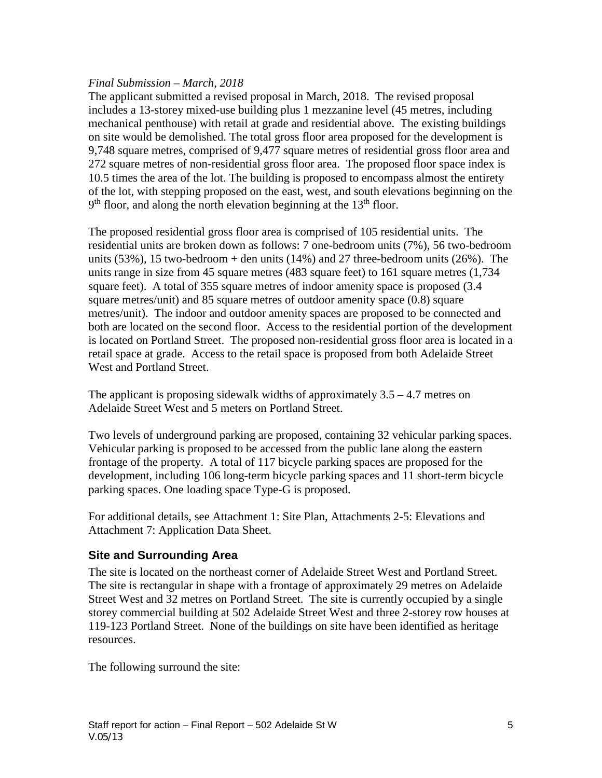#### *Final Submission – March, 2018*

The applicant submitted a revised proposal in March, 2018. The revised proposal includes a 13-storey mixed-use building plus 1 mezzanine level (45 metres, including mechanical penthouse) with retail at grade and residential above. The existing buildings on site would be demolished. The total gross floor area proposed for the development is 9,748 square metres, comprised of 9,477 square metres of residential gross floor area and 272 square metres of non-residential gross floor area. The proposed floor space index is 10.5 times the area of the lot. The building is proposed to encompass almost the entirety of the lot, with stepping proposed on the east, west, and south elevations beginning on the  $9<sup>th</sup>$  floor, and along the north elevation beginning at the 13<sup>th</sup> floor.

The proposed residential gross floor area is comprised of 105 residential units. The residential units are broken down as follows: 7 one-bedroom units (7%), 56 two-bedroom units  $(53\%)$ , 15 two-bedroom + den units  $(14\%)$  and 27 three-bedroom units  $(26\%)$ . The units range in size from 45 square metres (483 square feet) to 161 square metres (1,734 square feet). A total of 355 square metres of indoor amenity space is proposed (3.4 square metres/unit) and 85 square metres of outdoor amenity space (0.8) square metres/unit). The indoor and outdoor amenity spaces are proposed to be connected and both are located on the second floor. Access to the residential portion of the development is located on Portland Street. The proposed non-residential gross floor area is located in a retail space at grade. Access to the retail space is proposed from both Adelaide Street West and Portland Street.

The applicant is proposing sidewalk widths of approximately 3.5 – 4.7 metres on Adelaide Street West and 5 meters on Portland Street.

Two levels of underground parking are proposed, containing 32 vehicular parking spaces. Vehicular parking is proposed to be accessed from the public lane along the eastern frontage of the property. A total of 117 bicycle parking spaces are proposed for the development, including 106 long-term bicycle parking spaces and 11 short-term bicycle parking spaces. One loading space Type-G is proposed.

For additional details, see Attachment 1: Site Plan, Attachments 2-5: Elevations and Attachment 7: Application Data Sheet.

#### **Site and Surrounding Area**

The site is located on the northeast corner of Adelaide Street West and Portland Street. The site is rectangular in shape with a frontage of approximately 29 metres on Adelaide Street West and 32 metres on Portland Street. The site is currently occupied by a single storey commercial building at 502 Adelaide Street West and three 2-storey row houses at 119-123 Portland Street. None of the buildings on site have been identified as heritage resources.

The following surround the site: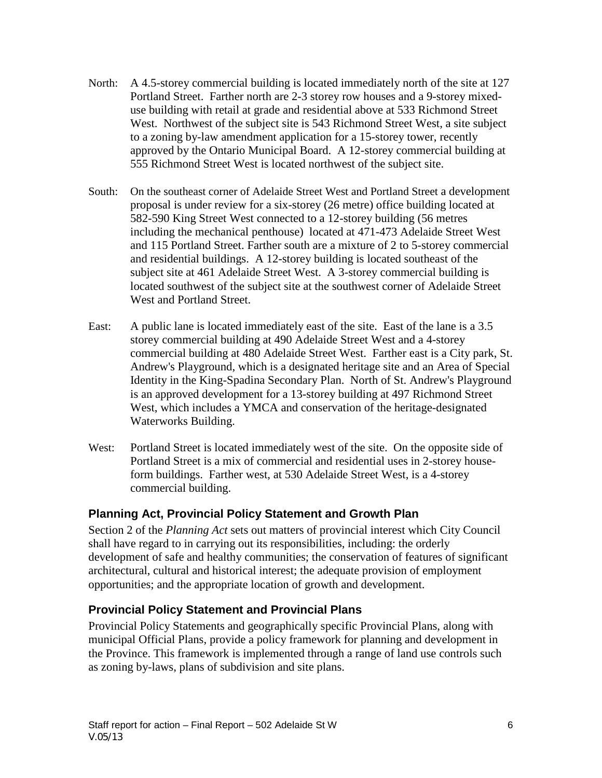- North: A 4.5-storey commercial building is located immediately north of the site at 127 Portland Street. Farther north are 2-3 storey row houses and a 9-storey mixeduse building with retail at grade and residential above at 533 Richmond Street West. Northwest of the subject site is 543 Richmond Street West, a site subject to a zoning by-law amendment application for a 15-storey tower, recently approved by the Ontario Municipal Board. A 12-storey commercial building at 555 Richmond Street West is located northwest of the subject site.
- South: On the southeast corner of Adelaide Street West and Portland Street a development proposal is under review for a six-storey (26 metre) office building located at 582-590 King Street West connected to a 12-storey building (56 metres including the mechanical penthouse) located at 471-473 Adelaide Street West and 115 Portland Street. Farther south are a mixture of 2 to 5-storey commercial and residential buildings. A 12-storey building is located southeast of the subject site at 461 Adelaide Street West. A 3-storey commercial building is located southwest of the subject site at the southwest corner of Adelaide Street West and Portland Street.
- East: A public lane is located immediately east of the site. East of the lane is a 3.5 storey commercial building at 490 Adelaide Street West and a 4-storey commercial building at 480 Adelaide Street West. Farther east is a City park, St. Andrew's Playground, which is a designated heritage site and an Area of Special Identity in the King-Spadina Secondary Plan. North of St. Andrew's Playground is an approved development for a 13-storey building at 497 Richmond Street West, which includes a YMCA and conservation of the heritage-designated Waterworks Building.
- West: Portland Street is located immediately west of the site. On the opposite side of Portland Street is a mix of commercial and residential uses in 2-storey houseform buildings. Farther west, at 530 Adelaide Street West, is a 4-storey commercial building.

#### **Planning Act, Provincial Policy Statement and Growth Plan**

Section 2 of the *Planning Act* sets out matters of provincial interest which City Council shall have regard to in carrying out its responsibilities, including: the orderly development of safe and healthy communities; the conservation of features of significant architectural, cultural and historical interest; the adequate provision of employment opportunities; and the appropriate location of growth and development.

### **Provincial Policy Statement and Provincial Plans**

Provincial Policy Statements and geographically specific Provincial Plans, along with municipal Official Plans, provide a policy framework for planning and development in the Province. This framework is implemented through a range of land use controls such as zoning by-laws, plans of subdivision and site plans.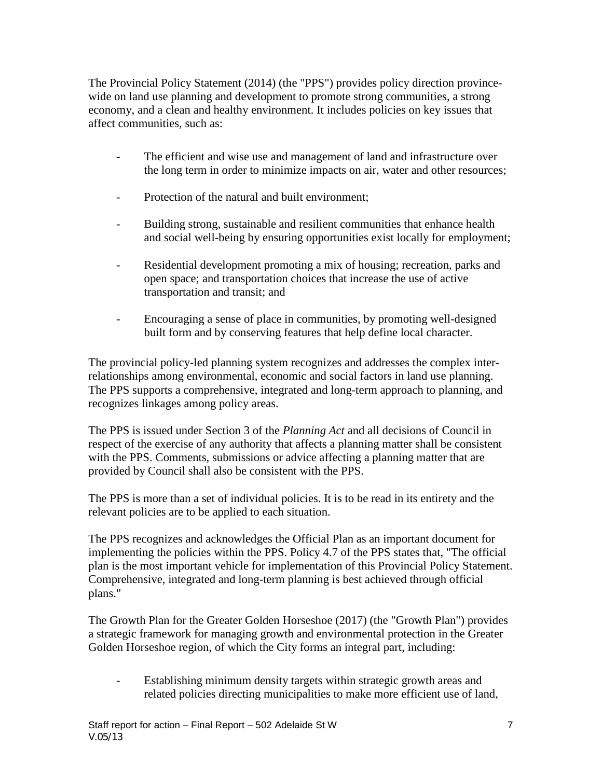The Provincial Policy Statement (2014) (the "PPS") provides policy direction provincewide on land use planning and development to promote strong communities, a strong economy, and a clean and healthy environment. It includes policies on key issues that affect communities, such as:

- The efficient and wise use and management of land and infrastructure over the long term in order to minimize impacts on air, water and other resources;
- Protection of the natural and built environment:
- Building strong, sustainable and resilient communities that enhance health and social well-being by ensuring opportunities exist locally for employment;
- Residential development promoting a mix of housing; recreation, parks and open space; and transportation choices that increase the use of active transportation and transit; and
- Encouraging a sense of place in communities, by promoting well-designed built form and by conserving features that help define local character.

The provincial policy-led planning system recognizes and addresses the complex interrelationships among environmental, economic and social factors in land use planning. The PPS supports a comprehensive, integrated and long-term approach to planning, and recognizes linkages among policy areas.

The PPS is issued under Section 3 of the *[Planning Act](https://www.e-laws.gov.on.ca/html/statutes/english/elaws_statutes_90p13_e.htm)* and all decisions of Council in respect of the exercise of any authority that affects a planning matter shall be consistent with the PPS. Comments, submissions or advice affecting a planning matter that are provided by Council shall also be consistent with the PPS.

The PPS is more than a set of individual policies. It is to be read in its entirety and the relevant policies are to be applied to each situation.

The PPS recognizes and acknowledges the Official Plan as an important document for implementing the policies within the PPS. Policy 4.7 of the PPS states that, "The official plan is the most important vehicle for implementation of this Provincial Policy Statement. Comprehensive, integrated and long-term planning is best achieved through official plans."

The Growth Plan for the Greater Golden Horseshoe (2017) (the "Growth Plan") provides a strategic framework for managing growth and environmental protection in the Greater Golden Horseshoe region, of which the City forms an integral part, including:

- Establishing minimum density targets within strategic growth areas and related policies directing municipalities to make more efficient use of land,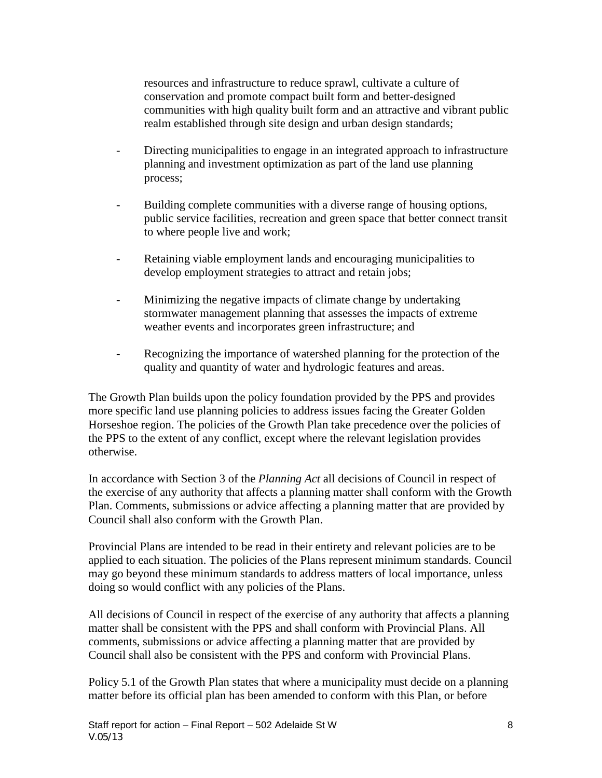resources and infrastructure to reduce sprawl, cultivate a culture of conservation and promote compact built form and better-designed communities with high quality built form and an attractive and vibrant public realm established through site design and urban design standards;

- Directing municipalities to engage in an integrated approach to infrastructure planning and investment optimization as part of the land use planning process;
- Building complete communities with a diverse range of housing options, public service facilities, recreation and green space that better connect transit to where people live and work;
- Retaining viable employment lands and encouraging municipalities to develop employment strategies to attract and retain jobs;
- Minimizing the negative impacts of climate change by undertaking stormwater management planning that assesses the impacts of extreme weather events and incorporates green infrastructure; and
- Recognizing the importance of watershed planning for the protection of the quality and quantity of water and hydrologic features and areas.

The Growth Plan builds upon the policy foundation provided by the PPS and provides more specific land use planning policies to address issues facing the Greater Golden Horseshoe region. The policies of the Growth Plan take precedence over the policies of the PPS to the extent of any conflict, except where the relevant legislation provides otherwise.

In accordance with Section 3 of the *Planning Act* all decisions of Council in respect of the exercise of any authority that affects a planning matter shall conform with the Growth Plan. Comments, submissions or advice affecting a planning matter that are provided by Council shall also conform with the Growth Plan.

Provincial Plans are intended to be read in their entirety and relevant policies are to be applied to each situation. The policies of the Plans represent minimum standards. Council may go beyond these minimum standards to address matters of local importance, unless doing so would conflict with any policies of the Plans.

All decisions of Council in respect of the exercise of any authority that affects a planning matter shall be consistent with the PPS and shall conform with Provincial Plans. All comments, submissions or advice affecting a planning matter that are provided by Council shall also be consistent with the PPS and conform with Provincial Plans.

Policy 5.1 of the Growth Plan states that where a municipality must decide on a planning matter before its official plan has been amended to conform with this Plan, or before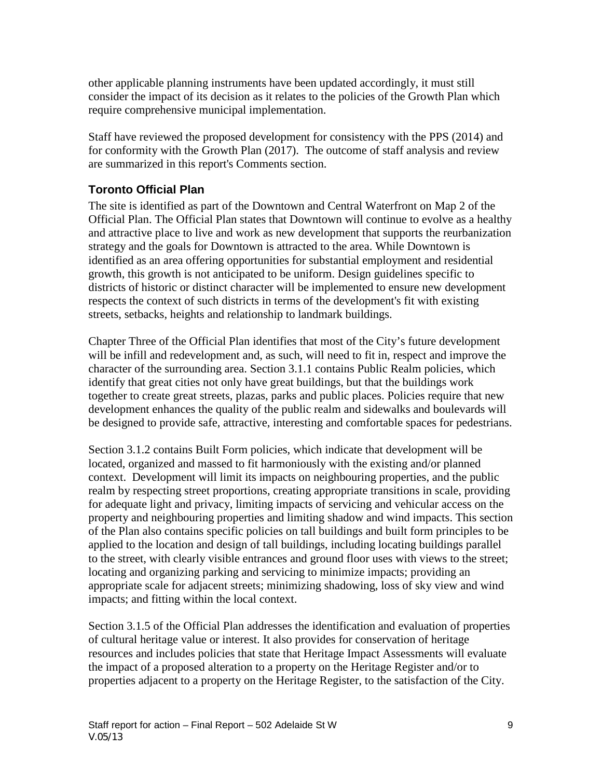other applicable planning instruments have been updated accordingly, it must still consider the impact of its decision as it relates to the policies of the Growth Plan which require comprehensive municipal implementation.

Staff have reviewed the proposed development for consistency with the PPS (2014) and for conformity with the Growth Plan (2017). The outcome of staff analysis and review are summarized in this report's Comments section.

#### **Toronto Official Plan**

The site is identified as part of the Downtown and Central Waterfront on Map 2 of the Official Plan. The Official Plan states that Downtown will continue to evolve as a healthy and attractive place to live and work as new development that supports the reurbanization strategy and the goals for Downtown is attracted to the area. While Downtown is identified as an area offering opportunities for substantial employment and residential growth, this growth is not anticipated to be uniform. Design guidelines specific to districts of historic or distinct character will be implemented to ensure new development respects the context of such districts in terms of the development's fit with existing streets, setbacks, heights and relationship to landmark buildings.

Chapter Three of the Official Plan identifies that most of the City's future development will be infill and redevelopment and, as such, will need to fit in, respect and improve the character of the surrounding area. Section 3.1.1 contains Public Realm policies, which identify that great cities not only have great buildings, but that the buildings work together to create great streets, plazas, parks and public places. Policies require that new development enhances the quality of the public realm and sidewalks and boulevards will be designed to provide safe, attractive, interesting and comfortable spaces for pedestrians.

Section 3.1.2 contains Built Form policies, which indicate that development will be located, organized and massed to fit harmoniously with the existing and/or planned context. Development will limit its impacts on neighbouring properties, and the public realm by respecting street proportions, creating appropriate transitions in scale, providing for adequate light and privacy, limiting impacts of servicing and vehicular access on the property and neighbouring properties and limiting shadow and wind impacts. This section of the Plan also contains specific policies on tall buildings and built form principles to be applied to the location and design of tall buildings, including locating buildings parallel to the street, with clearly visible entrances and ground floor uses with views to the street; locating and organizing parking and servicing to minimize impacts; providing an appropriate scale for adjacent streets; minimizing shadowing, loss of sky view and wind impacts; and fitting within the local context.

Section 3.1.5 of the Official Plan addresses the identification and evaluation of properties of cultural heritage value or interest. It also provides for conservation of heritage resources and includes policies that state that Heritage Impact Assessments will evaluate the impact of a proposed alteration to a property on the Heritage Register and/or to properties adjacent to a property on the Heritage Register, to the satisfaction of the City.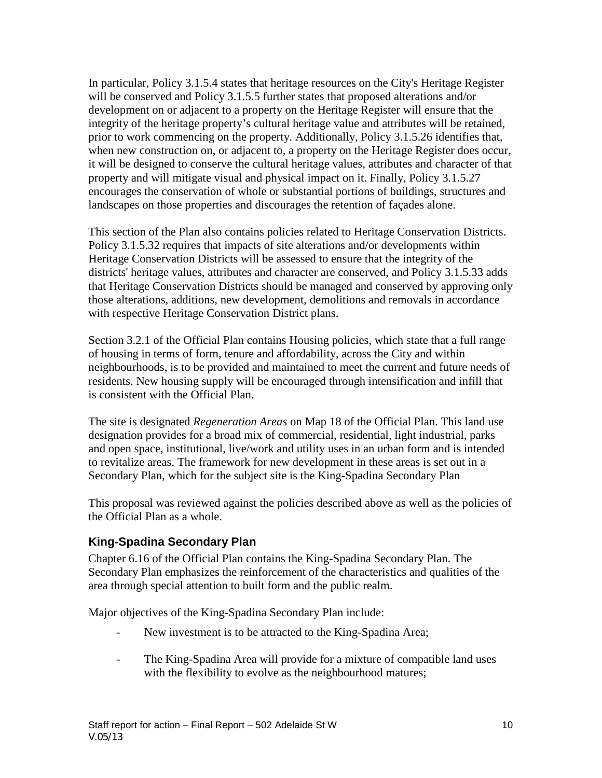In particular, Policy 3.1.5.4 states that heritage resources on the City's Heritage Register will be conserved and Policy 3.1.5.5 further states that proposed alterations and/or development on or adjacent to a property on the Heritage Register will ensure that the integrity of the heritage property's cultural heritage value and attributes will be retained, prior to work commencing on the property. Additionally, Policy 3.1.5.26 identifies that, when new construction on, or adjacent to, a property on the Heritage Register does occur, it will be designed to conserve the cultural heritage values, attributes and character of that property and will mitigate visual and physical impact on it. Finally, Policy 3.1.5.27 encourages the conservation of whole or substantial portions of buildings, structures and landscapes on those properties and discourages the retention of façades alone.

This section of the Plan also contains policies related to Heritage Conservation Districts. Policy 3.1.5.32 requires that impacts of site alterations and/or developments within Heritage Conservation Districts will be assessed to ensure that the integrity of the districts' heritage values, attributes and character are conserved, and Policy 3.1.5.33 adds that Heritage Conservation Districts should be managed and conserved by approving only those alterations, additions, new development, demolitions and removals in accordance with respective Heritage Conservation District plans.

Section 3.2.1 of the Official Plan contains Housing policies, which state that a full range of housing in terms of form, tenure and affordability, across the City and within neighbourhoods, is to be provided and maintained to meet the current and future needs of residents. New housing supply will be encouraged through intensification and infill that is consistent with the Official Plan.

The site is designated *Regeneration Areas* on Map 18 of the Official Plan. This land use designation provides for a broad mix of commercial, residential, light industrial, parks and open space, institutional, live/work and utility uses in an urban form and is intended to revitalize areas. The framework for new development in these areas is set out in a Secondary Plan, which for the subject site is the King-Spadina Secondary Plan

This proposal was reviewed against the policies described above as well as the policies of the Official Plan as a whole.

### **King-Spadina Secondary Plan**

Chapter 6.16 of the Official Plan contains the King-Spadina Secondary Plan. The Secondary Plan emphasizes the reinforcement of the characteristics and qualities of the area through special attention to built form and the public realm.

Major objectives of the King-Spadina Secondary Plan include:

- New investment is to be attracted to the King-Spadina Area;
- The King-Spadina Area will provide for a mixture of compatible land uses with the flexibility to evolve as the neighbourhood matures;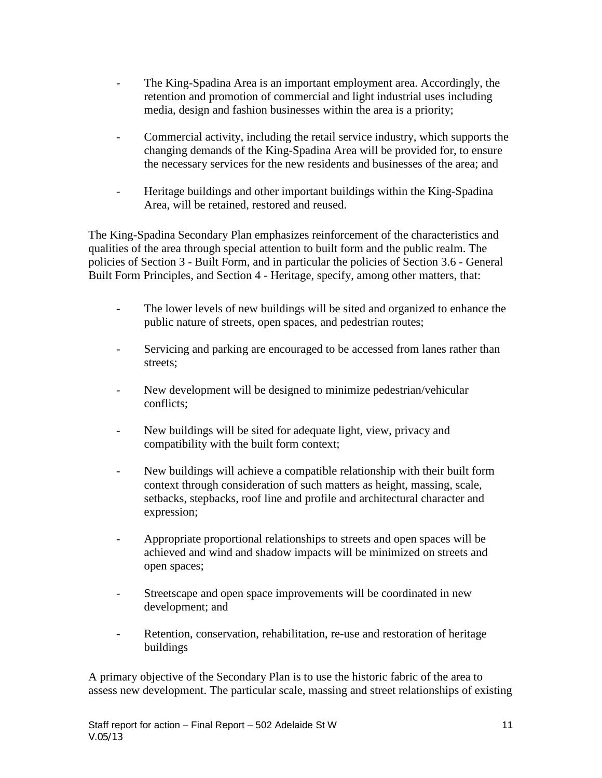- The King-Spadina Area is an important employment area. Accordingly, the retention and promotion of commercial and light industrial uses including media, design and fashion businesses within the area is a priority;
- Commercial activity, including the retail service industry, which supports the changing demands of the King-Spadina Area will be provided for, to ensure the necessary services for the new residents and businesses of the area; and
- Heritage buildings and other important buildings within the King-Spadina Area, will be retained, restored and reused.

The King-Spadina Secondary Plan emphasizes reinforcement of the characteristics and qualities of the area through special attention to built form and the public realm. The policies of Section 3 - Built Form, and in particular the policies of Section 3.6 - General Built Form Principles, and Section 4 - Heritage, specify, among other matters, that:

- The lower levels of new buildings will be sited and organized to enhance the public nature of streets, open spaces, and pedestrian routes;
- Servicing and parking are encouraged to be accessed from lanes rather than streets;
- New development will be designed to minimize pedestrian/vehicular conflicts;
- New buildings will be sited for adequate light, view, privacy and compatibility with the built form context;
- New buildings will achieve a compatible relationship with their built form context through consideration of such matters as height, massing, scale, setbacks, stepbacks, roof line and profile and architectural character and expression;
- Appropriate proportional relationships to streets and open spaces will be achieved and wind and shadow impacts will be minimized on streets and open spaces;
- Streetscape and open space improvements will be coordinated in new development; and
- Retention, conservation, rehabilitation, re-use and restoration of heritage buildings

A primary objective of the Secondary Plan is to use the historic fabric of the area to assess new development. The particular scale, massing and street relationships of existing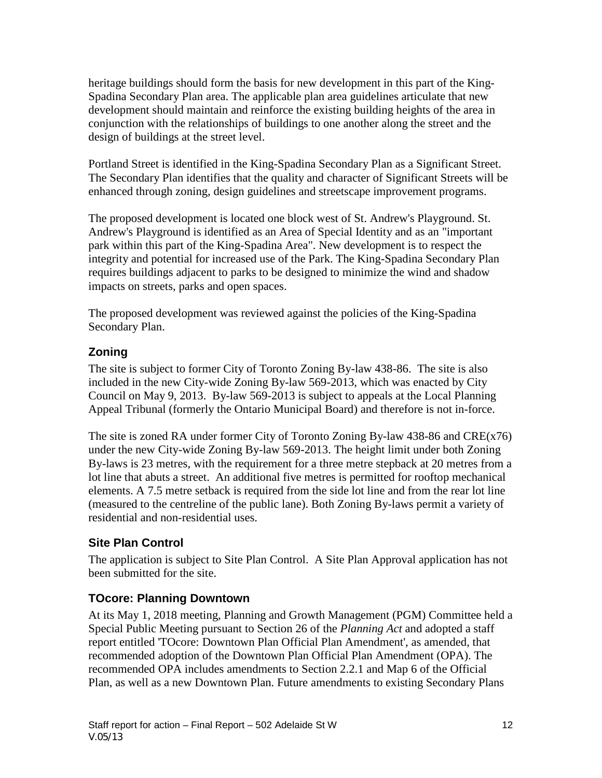heritage buildings should form the basis for new development in this part of the King-Spadina Secondary Plan area. The applicable plan area guidelines articulate that new development should maintain and reinforce the existing building heights of the area in conjunction with the relationships of buildings to one another along the street and the design of buildings at the street level.

Portland Street is identified in the King-Spadina Secondary Plan as a Significant Street. The Secondary Plan identifies that the quality and character of Significant Streets will be enhanced through zoning, design guidelines and streetscape improvement programs.

The proposed development is located one block west of St. Andrew's Playground. St. Andrew's Playground is identified as an Area of Special Identity and as an "important park within this part of the King-Spadina Area". New development is to respect the integrity and potential for increased use of the Park. The King-Spadina Secondary Plan requires buildings adjacent to parks to be designed to minimize the wind and shadow impacts on streets, parks and open spaces.

The proposed development was reviewed against the policies of the King-Spadina Secondary Plan.

### **Zoning**

The site is subject to former City of Toronto Zoning By-law 438-86. The site is also included in the new City-wide Zoning By-law 569-2013, which was enacted by City Council on May 9, 2013. By-law 569-2013 is subject to appeals at the Local Planning Appeal Tribunal (formerly the Ontario Municipal Board) and therefore is not in-force.

The site is zoned RA under former City of Toronto Zoning By-law 438-86 and CRE(x76) under the new City-wide Zoning By-law 569-2013. The height limit under both Zoning By-laws is 23 metres, with the requirement for a three metre stepback at 20 metres from a lot line that abuts a street. An additional five metres is permitted for rooftop mechanical elements. A 7.5 metre setback is required from the side lot line and from the rear lot line (measured to the centreline of the public lane). Both Zoning By-laws permit a variety of residential and non-residential uses.

## **Site Plan Control**

The application is subject to Site Plan Control. A Site Plan Approval application has not been submitted for the site.

### **TOcore: Planning Downtown**

At its May 1, 2018 meeting, Planning and Growth Management (PGM) Committee held a Special Public Meeting pursuant to Section 26 of the *Planning Act* and adopted a staff report entitled 'TOcore: Downtown Plan Official Plan Amendment', as amended, that recommended adoption of the Downtown Plan Official Plan Amendment (OPA). The recommended OPA includes amendments to Section 2.2.1 and Map 6 of the Official Plan, as well as a new Downtown Plan. Future amendments to existing Secondary Plans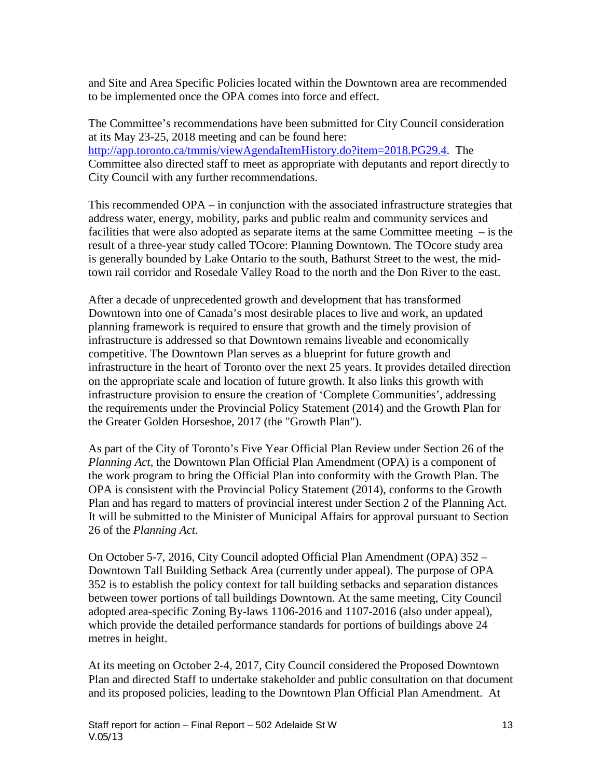and Site and Area Specific Policies located within the Downtown area are recommended to be implemented once the OPA comes into force and effect.

The Committee's recommendations have been submitted for City Council consideration at its May 23-25, 2018 meeting and can be found here: [http://app.toronto.ca/tmmis/viewAgendaItemHistory.do?item=2018.PG29.4.](http://app.toronto.ca/tmmis/viewAgendaItemHistory.do?item=2018.PG29.4) The Committee also directed staff to meet as appropriate with deputants and report directly to City Council with any further recommendations.

This recommended OPA – in conjunction with the associated infrastructure strategies that address water, energy, mobility, parks and public realm and community services and facilities that were also adopted as separate items at the same Committee meeting – is the result of a three-year study called TOcore: Planning Downtown. The TOcore study area is generally bounded by Lake Ontario to the south, Bathurst Street to the west, the midtown rail corridor and Rosedale Valley Road to the north and the Don River to the east.

After a decade of unprecedented growth and development that has transformed Downtown into one of Canada's most desirable places to live and work, an updated planning framework is required to ensure that growth and the timely provision of infrastructure is addressed so that Downtown remains liveable and economically competitive. The Downtown Plan serves as a blueprint for future growth and infrastructure in the heart of Toronto over the next 25 years. It provides detailed direction on the appropriate scale and location of future growth. It also links this growth with infrastructure provision to ensure the creation of 'Complete Communities', addressing the requirements under the Provincial Policy Statement (2014) and the Growth Plan for the Greater Golden Horseshoe, 2017 (the "Growth Plan").

As part of the City of Toronto's Five Year Official Plan Review under Section 26 of the *Planning Act*, the Downtown Plan Official Plan Amendment (OPA) is a component of the work program to bring the Official Plan into conformity with the Growth Plan. The OPA is consistent with the Provincial Policy Statement (2014), conforms to the Growth Plan and has regard to matters of provincial interest under Section 2 of the Planning Act. It will be submitted to the Minister of Municipal Affairs for approval pursuant to Section 26 of the *Planning Act*.

On October 5-7, 2016, City Council adopted Official Plan Amendment (OPA) 352 – Downtown Tall Building Setback Area (currently under appeal). The purpose of OPA 352 is to establish the policy context for tall building setbacks and separation distances between tower portions of tall buildings Downtown. At the same meeting, City Council adopted area-specific Zoning By-laws 1106-2016 and 1107-2016 (also under appeal), which provide the detailed performance standards for portions of buildings above 24 metres in height.

At its meeting on October 2-4, 2017, City Council considered the Proposed Downtown Plan and directed Staff to undertake stakeholder and public consultation on that document and its proposed policies, leading to the Downtown Plan Official Plan Amendment. At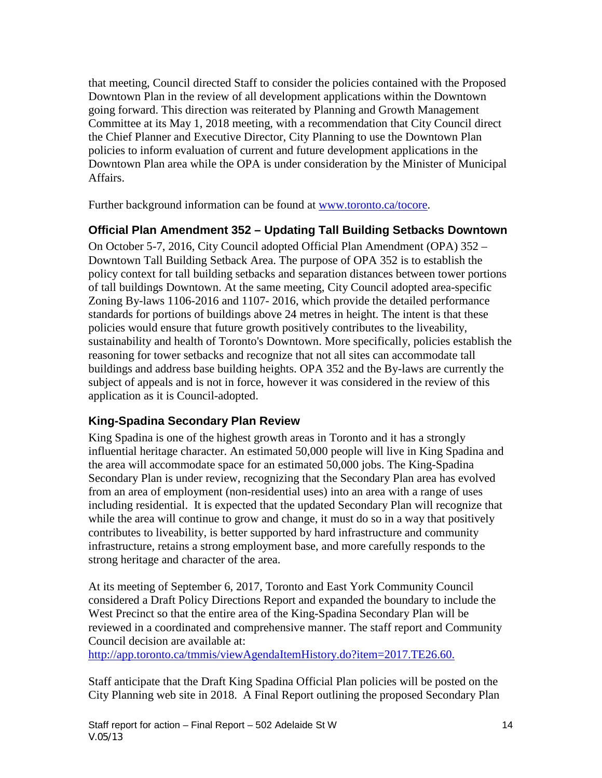that meeting, Council directed Staff to consider the policies contained with the Proposed Downtown Plan in the review of all development applications within the Downtown going forward. This direction was reiterated by Planning and Growth Management Committee at its May 1, 2018 meeting, with a recommendation that City Council direct the Chief Planner and Executive Director, City Planning to use the Downtown Plan policies to inform evaluation of current and future development applications in the Downtown Plan area while the OPA is under consideration by the Minister of Municipal Affairs.

Further background information can be found at [www.toronto.ca/tocore.](http://www.toronto.ca/tocore)

#### **Official Plan Amendment 352 – Updating Tall Building Setbacks Downtown**

On October 5-7, 2016, City Council adopted Official Plan Amendment (OPA) 352 – Downtown Tall Building Setback Area. The purpose of OPA 352 is to establish the policy context for tall building setbacks and separation distances between tower portions of tall buildings Downtown. At the same meeting, City Council adopted area-specific Zoning By-laws 1106-2016 and 1107- 2016, which provide the detailed performance standards for portions of buildings above 24 metres in height. The intent is that these policies would ensure that future growth positively contributes to the liveability, sustainability and health of Toronto's Downtown. More specifically, policies establish the reasoning for tower setbacks and recognize that not all sites can accommodate tall buildings and address base building heights. OPA 352 and the By-laws are currently the subject of appeals and is not in force, however it was considered in the review of this application as it is Council-adopted.

### **King-Spadina Secondary Plan Review**

King Spadina is one of the highest growth areas in Toronto and it has a strongly influential heritage character. An estimated 50,000 people will live in King Spadina and the area will accommodate space for an estimated 50,000 jobs. The King-Spadina Secondary Plan is under review, recognizing that the Secondary Plan area has evolved from an area of employment (non-residential uses) into an area with a range of uses including residential. It is expected that the updated Secondary Plan will recognize that while the area will continue to grow and change, it must do so in a way that positively contributes to liveability, is better supported by hard infrastructure and community infrastructure, retains a strong employment base, and more carefully responds to the strong heritage and character of the area.

At its meeting of September 6, 2017, Toronto and East York Community Council considered a Draft Policy Directions Report and expanded the boundary to include the West Precinct so that the entire area of the King-Spadina Secondary Plan will be reviewed in a coordinated and comprehensive manner. The staff report and Community Council decision are available at:

<http://app.toronto.ca/tmmis/viewAgendaItemHistory.do?item=2017.TE26.60.>

Staff anticipate that the Draft King Spadina Official Plan policies will be posted on the City Planning web site in 2018. A Final Report outlining the proposed Secondary Plan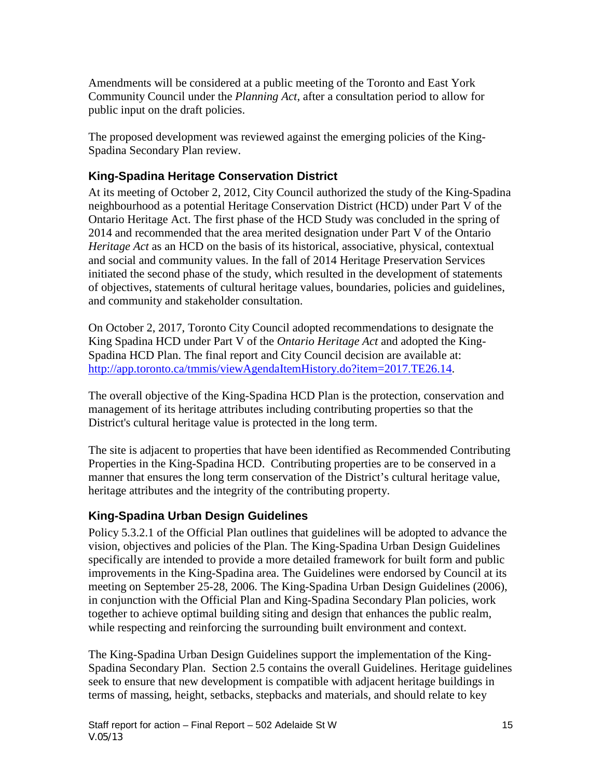Amendments will be considered at a public meeting of the Toronto and East York Community Council under the *Planning Act*, after a consultation period to allow for public input on the draft policies.

The proposed development was reviewed against the emerging policies of the King-Spadina Secondary Plan review.

### **King-Spadina Heritage Conservation District**

At its meeting of October 2, 2012, City Council authorized the study of the King-Spadina neighbourhood as a potential Heritage Conservation District (HCD) under Part V of the Ontario Heritage Act. The first phase of the HCD Study was concluded in the spring of 2014 and recommended that the area merited designation under Part V of the Ontario *Heritage Act* as an HCD on the basis of its historical, associative, physical, contextual and social and community values. In the fall of 2014 Heritage Preservation Services initiated the second phase of the study, which resulted in the development of statements of objectives, statements of cultural heritage values, boundaries, policies and guidelines, and community and stakeholder consultation.

On October 2, 2017, Toronto City Council adopted recommendations to designate the King Spadina HCD under Part V of the *Ontario Heritage Act* and adopted the King-Spadina HCD Plan. The final report and City Council decision are available at: [http://app.toronto.ca/tmmis/viewAgendaItemHistory.do?item=2017.TE26.14.](http://app.toronto.ca/tmmis/viewAgendaItemHistory.do?item=2017.TE26.14)

The overall objective of the King-Spadina HCD Plan is the protection, conservation and management of its heritage attributes including contributing properties so that the District's cultural heritage value is protected in the long term.

The site is adjacent to properties that have been identified as Recommended Contributing Properties in the King-Spadina HCD. Contributing properties are to be conserved in a manner that ensures the long term conservation of the District's cultural heritage value, heritage attributes and the integrity of the contributing property.

### **King-Spadina Urban Design Guidelines**

Policy 5.3.2.1 of the Official Plan outlines that guidelines will be adopted to advance the vision, objectives and policies of the Plan. The King-Spadina Urban Design Guidelines specifically are intended to provide a more detailed framework for built form and public improvements in the King-Spadina area. The Guidelines were endorsed by Council at its meeting on September 25-28, 2006. The King-Spadina Urban Design Guidelines (2006), in conjunction with the Official Plan and King-Spadina Secondary Plan policies, work together to achieve optimal building siting and design that enhances the public realm, while respecting and reinforcing the surrounding built environment and context.

The King-Spadina Urban Design Guidelines support the implementation of the King-Spadina Secondary Plan. Section 2.5 contains the overall Guidelines. Heritage guidelines seek to ensure that new development is compatible with adjacent heritage buildings in terms of massing, height, setbacks, stepbacks and materials, and should relate to key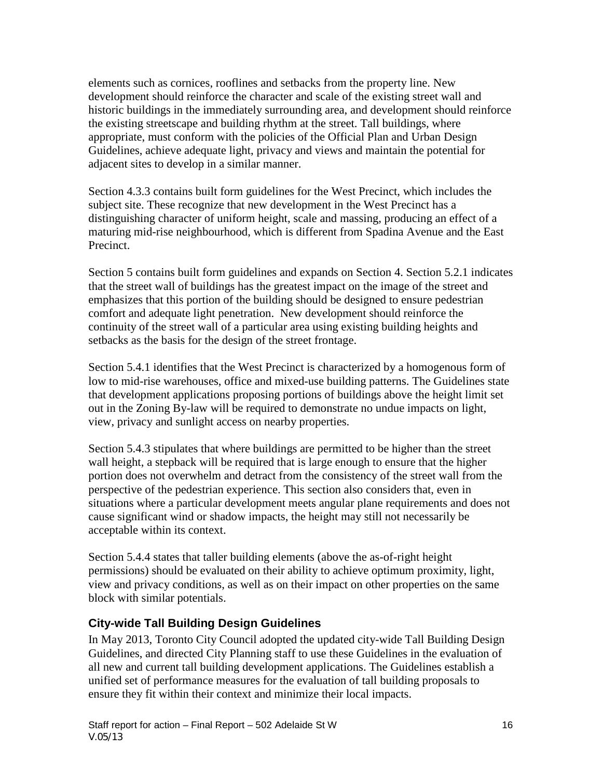elements such as cornices, rooflines and setbacks from the property line. New development should reinforce the character and scale of the existing street wall and historic buildings in the immediately surrounding area, and development should reinforce the existing streetscape and building rhythm at the street. Tall buildings, where appropriate, must conform with the policies of the Official Plan and Urban Design Guidelines, achieve adequate light, privacy and views and maintain the potential for adjacent sites to develop in a similar manner.

Section 4.3.3 contains built form guidelines for the West Precinct, which includes the subject site. These recognize that new development in the West Precinct has a distinguishing character of uniform height, scale and massing, producing an effect of a maturing mid-rise neighbourhood, which is different from Spadina Avenue and the East Precinct.

Section 5 contains built form guidelines and expands on Section 4. Section 5.2.1 indicates that the street wall of buildings has the greatest impact on the image of the street and emphasizes that this portion of the building should be designed to ensure pedestrian comfort and adequate light penetration. New development should reinforce the continuity of the street wall of a particular area using existing building heights and setbacks as the basis for the design of the street frontage.

Section 5.4.1 identifies that the West Precinct is characterized by a homogenous form of low to mid-rise warehouses, office and mixed-use building patterns. The Guidelines state that development applications proposing portions of buildings above the height limit set out in the Zoning By-law will be required to demonstrate no undue impacts on light, view, privacy and sunlight access on nearby properties.

Section 5.4.3 stipulates that where buildings are permitted to be higher than the street wall height, a stepback will be required that is large enough to ensure that the higher portion does not overwhelm and detract from the consistency of the street wall from the perspective of the pedestrian experience. This section also considers that, even in situations where a particular development meets angular plane requirements and does not cause significant wind or shadow impacts, the height may still not necessarily be acceptable within its context.

Section 5.4.4 states that taller building elements (above the as-of-right height permissions) should be evaluated on their ability to achieve optimum proximity, light, view and privacy conditions, as well as on their impact on other properties on the same block with similar potentials.

### **City-wide Tall Building Design Guidelines**

In May 2013, Toronto City Council adopted the updated city-wide Tall Building Design Guidelines, and directed City Planning staff to use these Guidelines in the evaluation of all new and current tall building development applications. The Guidelines establish a unified set of performance measures for the evaluation of tall building proposals to ensure they fit within their context and minimize their local impacts.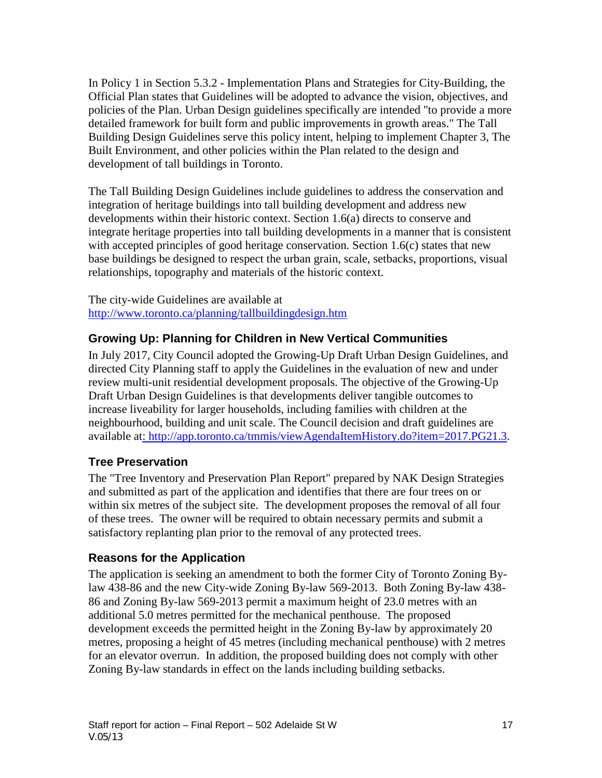In Policy 1 in Section 5.3.2 - Implementation Plans and Strategies for City-Building, the Official Plan states that Guidelines will be adopted to advance the vision, objectives, and policies of the Plan. Urban Design guidelines specifically are intended "to provide a more detailed framework for built form and public improvements in growth areas." The Tall Building Design Guidelines serve this policy intent, helping to implement Chapter 3, The Built Environment, and other policies within the Plan related to the design and development of tall buildings in Toronto.

The Tall Building Design Guidelines include guidelines to address the conservation and integration of heritage buildings into tall building development and address new developments within their historic context. Section 1.6(a) directs to conserve and integrate heritage properties into tall building developments in a manner that is consistent with accepted principles of good heritage conservation. Section 1.6(c) states that new base buildings be designed to respect the urban grain, scale, setbacks, proportions, visual relationships, topography and materials of the historic context.

The city-wide Guidelines are available at <http://www.toronto.ca/planning/tallbuildingdesign.htm>

### **Growing Up: Planning for Children in New Vertical Communities**

In July 2017, City Council adopted the Growing-Up Draft Urban Design Guidelines, and directed City Planning staff to apply the Guidelines in the evaluation of new and under review multi-unit residential development proposals. The objective of the Growing-Up Draft Urban Design Guidelines is that developments deliver tangible outcomes to increase liveability for larger households, including families with children at the neighbourhood, building and unit scale. The Council decision and draft guidelines are available a[t: http://app.toronto.ca/tmmis/viewAgendaItemHistory.do?item=2017.PG21.3.](file://VS-UDSIBMS/UDSIBMS/IBMS/IBMSDOCS/CP/CORP/SAVE/:%20http:/app.toronto.ca/tmmis/viewAgendaItemHistory.do?item=2017.PG21.3)

### **Tree Preservation**

The "Tree Inventory and Preservation Plan Report" prepared by NAK Design Strategies and submitted as part of the application and identifies that there are four trees on or within six metres of the subject site. The development proposes the removal of all four of these trees. The owner will be required to obtain necessary permits and submit a satisfactory replanting plan prior to the removal of any protected trees.

#### **Reasons for the Application**

The application is seeking an amendment to both the former City of Toronto Zoning Bylaw 438-86 and the new City-wide Zoning By-law 569-2013. Both Zoning By-law 438- 86 and Zoning By-law 569-2013 permit a maximum height of 23.0 metres with an additional 5.0 metres permitted for the mechanical penthouse. The proposed development exceeds the permitted height in the Zoning By-law by approximately 20 metres, proposing a height of 45 metres (including mechanical penthouse) with 2 metres for an elevator overrun. In addition, the proposed building does not comply with other Zoning By-law standards in effect on the lands including building setbacks.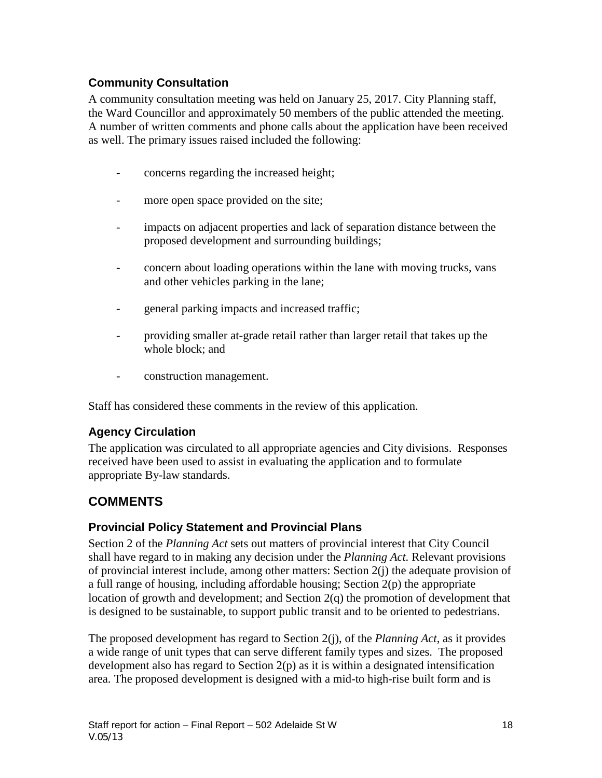### **Community Consultation**

A community consultation meeting was held on January 25, 2017. City Planning staff, the Ward Councillor and approximately 50 members of the public attended the meeting. A number of written comments and phone calls about the application have been received as well. The primary issues raised included the following:

- concerns regarding the increased height;
- more open space provided on the site;
- impacts on adjacent properties and lack of separation distance between the proposed development and surrounding buildings;
- concern about loading operations within the lane with moving trucks, vans and other vehicles parking in the lane;
- general parking impacts and increased traffic;
- providing smaller at-grade retail rather than larger retail that takes up the whole block; and
- construction management.

Staff has considered these comments in the review of this application.

## **Agency Circulation**

The application was circulated to all appropriate agencies and City divisions. Responses received have been used to assist in evaluating the application and to formulate appropriate By-law standards.

## **COMMENTS**

### **Provincial Policy Statement and Provincial Plans**

Section 2 of the *Planning Act* sets out matters of provincial interest that City Council shall have regard to in making any decision under the *Planning Act.* Relevant provisions of provincial interest include, among other matters: Section  $2(i)$  the adequate provision of a full range of housing, including affordable housing; Section  $2(p)$  the appropriate location of growth and development; and Section 2(q) the promotion of development that is designed to be sustainable, to support public transit and to be oriented to pedestrians.

The proposed development has regard to Section 2(j), of the *Planning Act*, as it provides a wide range of unit types that can serve different family types and sizes. The proposed development also has regard to Section 2(p) as it is within a designated intensification area. The proposed development is designed with a mid-to high-rise built form and is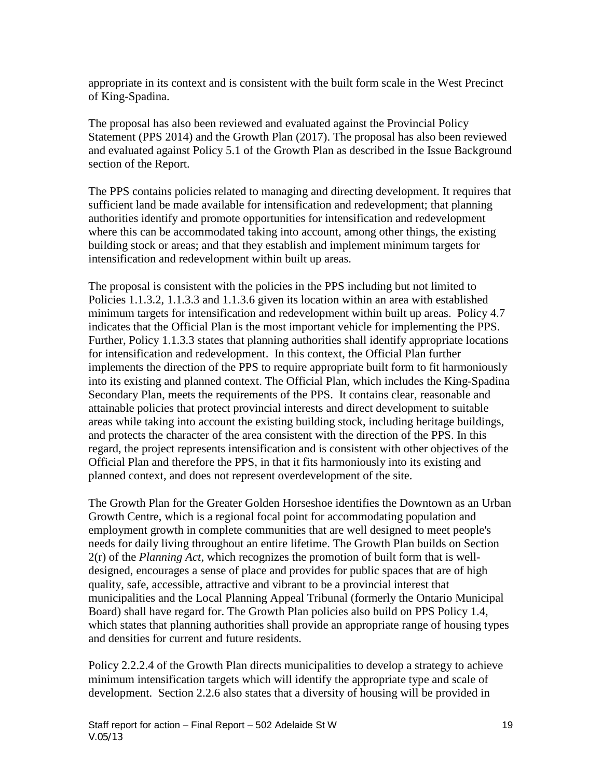appropriate in its context and is consistent with the built form scale in the West Precinct of King-Spadina.

The proposal has also been reviewed and evaluated against the Provincial Policy Statement (PPS 2014) and the Growth Plan (2017). The proposal has also been reviewed and evaluated against Policy 5.1 of the Growth Plan as described in the Issue Background section of the Report.

The PPS contains policies related to managing and directing development. It requires that sufficient land be made available for intensification and redevelopment; that planning authorities identify and promote opportunities for intensification and redevelopment where this can be accommodated taking into account, among other things, the existing building stock or areas; and that they establish and implement minimum targets for intensification and redevelopment within built up areas.

The proposal is consistent with the policies in the PPS including but not limited to Policies 1.1.3.2, 1.1.3.3 and 1.1.3.6 given its location within an area with established minimum targets for intensification and redevelopment within built up areas. Policy 4.7 indicates that the Official Plan is the most important vehicle for implementing the PPS. Further, Policy 1.1.3.3 states that planning authorities shall identify appropriate locations for intensification and redevelopment. In this context, the Official Plan further implements the direction of the PPS to require appropriate built form to fit harmoniously into its existing and planned context. The Official Plan, which includes the King-Spadina Secondary Plan, meets the requirements of the PPS. It contains clear, reasonable and attainable policies that protect provincial interests and direct development to suitable areas while taking into account the existing building stock, including heritage buildings, and protects the character of the area consistent with the direction of the PPS. In this regard, the project represents intensification and is consistent with other objectives of the Official Plan and therefore the PPS, in that it fits harmoniously into its existing and planned context, and does not represent overdevelopment of the site.

The Growth Plan for the Greater Golden Horseshoe identifies the Downtown as an Urban Growth Centre, which is a regional focal point for accommodating population and employment growth in complete communities that are well designed to meet people's needs for daily living throughout an entire lifetime. The Growth Plan builds on Section 2(r) of the *Planning Act*, which recognizes the promotion of built form that is welldesigned, encourages a sense of place and provides for public spaces that are of high quality, safe, accessible, attractive and vibrant to be a provincial interest that municipalities and the Local Planning Appeal Tribunal (formerly the Ontario Municipal Board) shall have regard for. The Growth Plan policies also build on PPS Policy 1.4, which states that planning authorities shall provide an appropriate range of housing types and densities for current and future residents.

Policy 2.2.2.4 of the Growth Plan directs municipalities to develop a strategy to achieve minimum intensification targets which will identify the appropriate type and scale of development. Section 2.2.6 also states that a diversity of housing will be provided in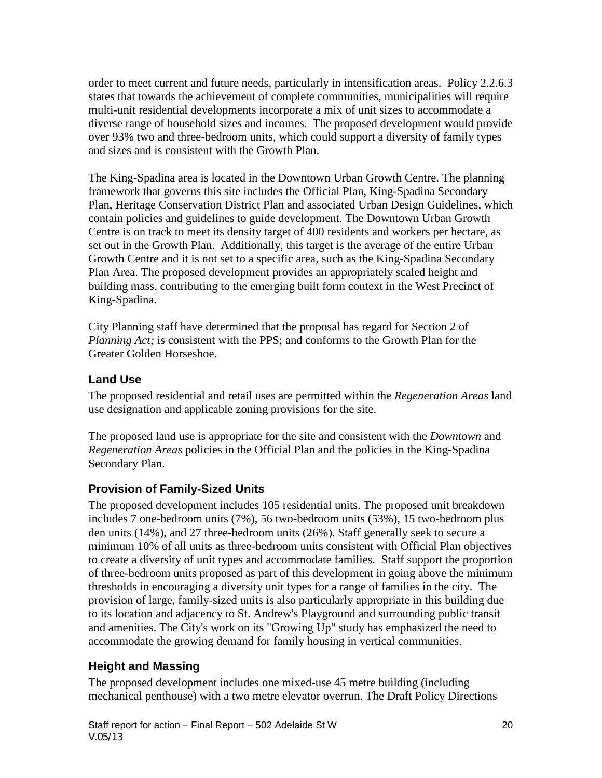order to meet current and future needs, particularly in intensification areas. Policy 2.2.6.3 states that towards the achievement of complete communities, municipalities will require multi-unit residential developments incorporate a mix of unit sizes to accommodate a diverse range of household sizes and incomes. The proposed development would provide over 93% two and three-bedroom units, which could support a diversity of family types and sizes and is consistent with the Growth Plan.

The King-Spadina area is located in the Downtown Urban Growth Centre. The planning framework that governs this site includes the Official Plan, King-Spadina Secondary Plan, Heritage Conservation District Plan and associated Urban Design Guidelines, which contain policies and guidelines to guide development. The Downtown Urban Growth Centre is on track to meet its density target of 400 residents and workers per hectare, as set out in the Growth Plan. Additionally, this target is the average of the entire Urban Growth Centre and it is not set to a specific area, such as the King-Spadina Secondary Plan Area. The proposed development provides an appropriately scaled height and building mass, contributing to the emerging built form context in the West Precinct of King-Spadina.

City Planning staff have determined that the proposal has regard for Section 2 of *Planning Act;* is consistent with the PPS; and conforms to the Growth Plan for the Greater Golden Horseshoe.

#### **Land Use**

The proposed residential and retail uses are permitted within the *Regeneration Areas* land use designation and applicable zoning provisions for the site.

The proposed land use is appropriate for the site and consistent with the *Downtown* and *Regeneration Areas* policies in the Official Plan and the policies in the King-Spadina Secondary Plan.

### **Provision of Family-Sized Units**

The proposed development includes 105 residential units. The proposed unit breakdown includes 7 one-bedroom units (7%), 56 two-bedroom units (53%), 15 two-bedroom plus den units (14%), and 27 three-bedroom units (26%). Staff generally seek to secure a minimum 10% of all units as three-bedroom units consistent with Official Plan objectives to create a diversity of unit types and accommodate families. Staff support the proportion of three-bedroom units proposed as part of this development in going above the minimum thresholds in encouraging a diversity unit types for a range of families in the city. The provision of large, family-sized units is also particularly appropriate in this building due to its location and adjacency to St. Andrew's Playground and surrounding public transit and amenities. The City's work on its "Growing Up" study has emphasized the need to accommodate the growing demand for family housing in vertical communities.

#### **Height and Massing**

The proposed development includes one mixed-use 45 metre building (including mechanical penthouse) with a two metre elevator overrun. The Draft Policy Directions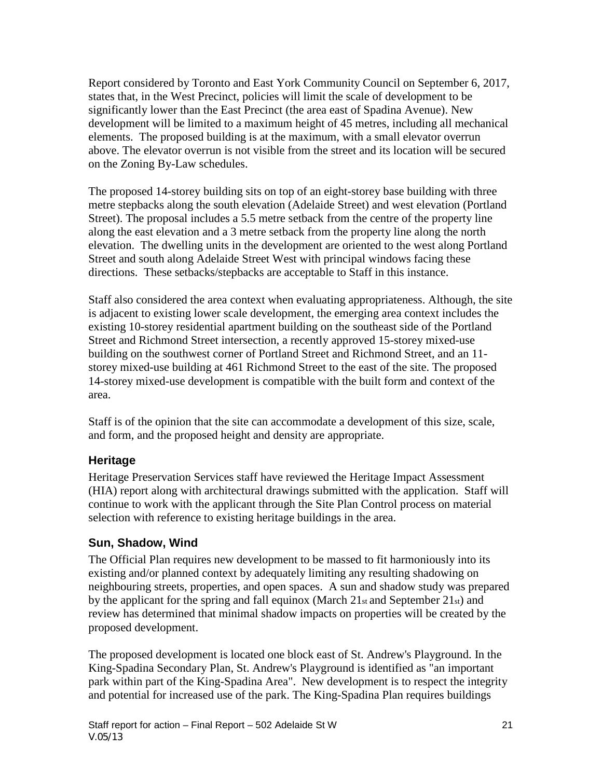Report considered by Toronto and East York Community Council on September 6, 2017, states that, in the West Precinct, policies will limit the scale of development to be significantly lower than the East Precinct (the area east of Spadina Avenue). New development will be limited to a maximum height of 45 metres, including all mechanical elements. The proposed building is at the maximum, with a small elevator overrun above. The elevator overrun is not visible from the street and its location will be secured on the Zoning By-Law schedules.

The proposed 14-storey building sits on top of an eight-storey base building with three metre stepbacks along the south elevation (Adelaide Street) and west elevation (Portland Street). The proposal includes a 5.5 metre setback from the centre of the property line along the east elevation and a 3 metre setback from the property line along the north elevation. The dwelling units in the development are oriented to the west along Portland Street and south along Adelaide Street West with principal windows facing these directions. These setbacks/stepbacks are acceptable to Staff in this instance.

Staff also considered the area context when evaluating appropriateness. Although, the site is adjacent to existing lower scale development, the emerging area context includes the existing 10-storey residential apartment building on the southeast side of the Portland Street and Richmond Street intersection, a recently approved 15-storey mixed-use building on the southwest corner of Portland Street and Richmond Street, and an 11 storey mixed-use building at 461 Richmond Street to the east of the site. The proposed 14-storey mixed-use development is compatible with the built form and context of the area.

Staff is of the opinion that the site can accommodate a development of this size, scale, and form, and the proposed height and density are appropriate.

#### **Heritage**

Heritage Preservation Services staff have reviewed the Heritage Impact Assessment (HIA) report along with architectural drawings submitted with the application. Staff will continue to work with the applicant through the Site Plan Control process on material selection with reference to existing heritage buildings in the area.

### **Sun, Shadow, Wind**

The Official Plan requires new development to be massed to fit harmoniously into its existing and/or planned context by adequately limiting any resulting shadowing on neighbouring streets, properties, and open spaces. A sun and shadow study was prepared by the applicant for the spring and fall equinox (March 21st and September 21st) and review has determined that minimal shadow impacts on properties will be created by the proposed development.

The proposed development is located one block east of St. Andrew's Playground. In the King-Spadina Secondary Plan, St. Andrew's Playground is identified as "an important park within part of the King-Spadina Area". New development is to respect the integrity and potential for increased use of the park. The King-Spadina Plan requires buildings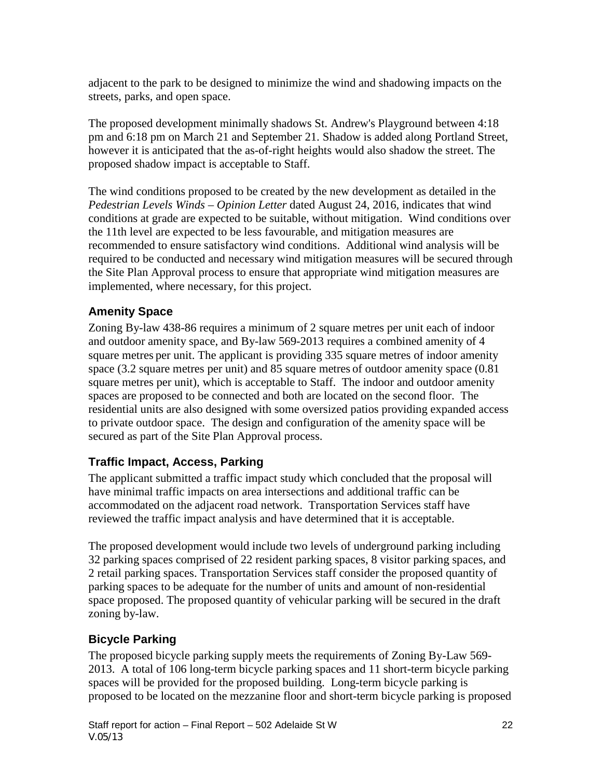adjacent to the park to be designed to minimize the wind and shadowing impacts on the streets, parks, and open space.

The proposed development minimally shadows St. Andrew's Playground between 4:18 pm and 6:18 pm on March 21 and September 21. Shadow is added along Portland Street, however it is anticipated that the as-of-right heights would also shadow the street. The proposed shadow impact is acceptable to Staff.

The wind conditions proposed to be created by the new development as detailed in the *Pedestrian Levels Winds – Opinion Letter* dated August 24, 2016, indicates that wind conditions at grade are expected to be suitable, without mitigation. Wind conditions over the 11th level are expected to be less favourable, and mitigation measures are recommended to ensure satisfactory wind conditions. Additional wind analysis will be required to be conducted and necessary wind mitigation measures will be secured through the Site Plan Approval process to ensure that appropriate wind mitigation measures are implemented, where necessary, for this project.

### **Amenity Space**

Zoning By-law 438-86 requires a minimum of 2 square metres per unit each of indoor and outdoor amenity space, and By-law 569-2013 requires a combined amenity of 4 square metres per unit. The applicant is providing 335 square metres of indoor amenity space (3.2 square metres per unit) and 85 square metres of outdoor amenity space (0.81 square metres per unit), which is acceptable to Staff. The indoor and outdoor amenity spaces are proposed to be connected and both are located on the second floor. The residential units are also designed with some oversized patios providing expanded access to private outdoor space. The design and configuration of the amenity space will be secured as part of the Site Plan Approval process.

### **Traffic Impact, Access, Parking**

The applicant submitted a traffic impact study which concluded that the proposal will have minimal traffic impacts on area intersections and additional traffic can be accommodated on the adjacent road network. Transportation Services staff have reviewed the traffic impact analysis and have determined that it is acceptable.

The proposed development would include two levels of underground parking including 32 parking spaces comprised of 22 resident parking spaces, 8 visitor parking spaces, and 2 retail parking spaces. Transportation Services staff consider the proposed quantity of parking spaces to be adequate for the number of units and amount of non-residential space proposed. The proposed quantity of vehicular parking will be secured in the draft zoning by-law.

## **Bicycle Parking**

The proposed bicycle parking supply meets the requirements of Zoning By-Law 569- 2013. A total of 106 long-term bicycle parking spaces and 11 short-term bicycle parking spaces will be provided for the proposed building. Long-term bicycle parking is proposed to be located on the mezzanine floor and short-term bicycle parking is proposed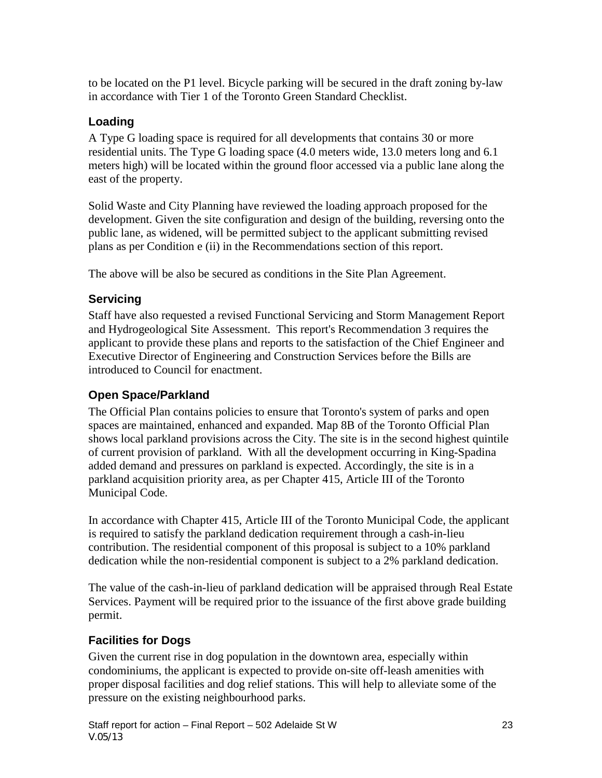to be located on the P1 level. Bicycle parking will be secured in the draft zoning by-law in accordance with Tier 1 of the Toronto Green Standard Checklist.

### **Loading**

A Type G loading space is required for all developments that contains 30 or more residential units. The Type G loading space (4.0 meters wide, 13.0 meters long and 6.1 meters high) will be located within the ground floor accessed via a public lane along the east of the property.

Solid Waste and City Planning have reviewed the loading approach proposed for the development. Given the site configuration and design of the building, reversing onto the public lane, as widened, will be permitted subject to the applicant submitting revised plans as per Condition e (ii) in the Recommendations section of this report.

The above will be also be secured as conditions in the Site Plan Agreement.

## **Servicing**

Staff have also requested a revised Functional Servicing and Storm Management Report and Hydrogeological Site Assessment. This report's Recommendation 3 requires the applicant to provide these plans and reports to the satisfaction of the Chief Engineer and Executive Director of Engineering and Construction Services before the Bills are introduced to Council for enactment.

## **Open Space/Parkland**

The Official Plan contains policies to ensure that Toronto's system of parks and open spaces are maintained, enhanced and expanded. Map 8B of the Toronto Official Plan shows local parkland provisions across the City. The site is in the second highest quintile of current provision of parkland. With all the development occurring in King-Spadina added demand and pressures on parkland is expected. Accordingly, the site is in a parkland acquisition priority area, as per Chapter 415, Article III of the Toronto Municipal Code.

In accordance with Chapter 415, Article III of the Toronto Municipal Code, the applicant is required to satisfy the parkland dedication requirement through a cash-in-lieu contribution. The residential component of this proposal is subject to a 10% parkland dedication while the non-residential component is subject to a 2% parkland dedication.

The value of the cash-in-lieu of parkland dedication will be appraised through Real Estate Services. Payment will be required prior to the issuance of the first above grade building permit.

## **Facilities for Dogs**

Given the current rise in dog population in the downtown area, especially within condominiums, the applicant is expected to provide on-site off-leash amenities with proper disposal facilities and dog relief stations. This will help to alleviate some of the pressure on the existing neighbourhood parks.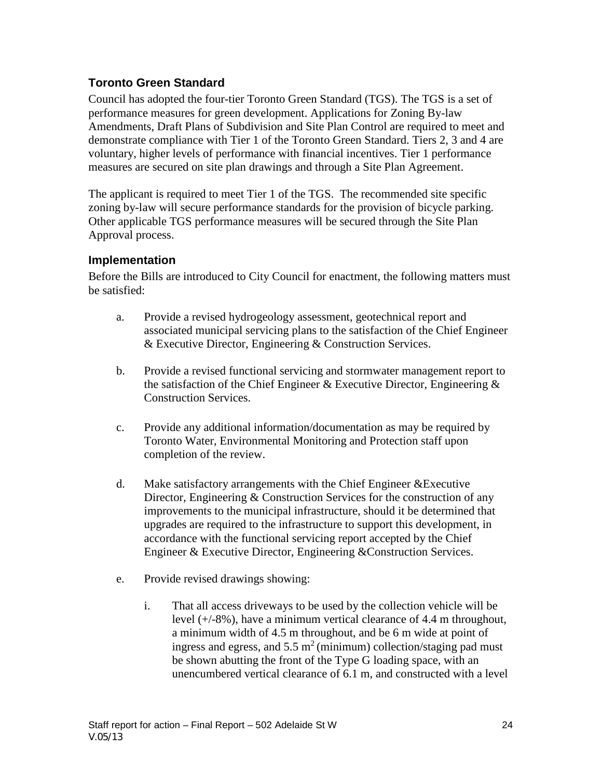### **Toronto Green Standard**

Council has adopted the four-tier Toronto Green Standard (TGS). The TGS is a set of performance measures for green development. Applications for Zoning By-law Amendments, Draft Plans of Subdivision and Site Plan Control are required to meet and demonstrate compliance with Tier 1 of the Toronto Green Standard. Tiers 2, 3 and 4 are voluntary, higher levels of performance with financial incentives. Tier 1 performance measures are secured on site plan drawings and through a Site Plan Agreement.

The applicant is required to meet Tier 1 of the TGS. The recommended site specific zoning by-law will secure performance standards for the provision of bicycle parking. Other applicable TGS performance measures will be secured through the Site Plan Approval process.

#### **Implementation**

Before the Bills are introduced to City Council for enactment, the following matters must be satisfied:

- a. Provide a revised hydrogeology assessment, geotechnical report and associated municipal servicing plans to the satisfaction of the Chief Engineer & Executive Director, Engineering & Construction Services.
- b. Provide a revised functional servicing and stormwater management report to the satisfaction of the Chief Engineer & Executive Director, Engineering & Construction Services.
- c. Provide any additional information/documentation as may be required by Toronto Water, Environmental Monitoring and Protection staff upon completion of the review.
- d. Make satisfactory arrangements with the Chief Engineer &Executive Director, Engineering & Construction Services for the construction of any improvements to the municipal infrastructure, should it be determined that upgrades are required to the infrastructure to support this development, in accordance with the functional servicing report accepted by the Chief Engineer & Executive Director, Engineering &Construction Services.
- e. Provide revised drawings showing:
	- i. That all access driveways to be used by the collection vehicle will be level (+/-8%), have a minimum vertical clearance of 4.4 m throughout, a minimum width of 4.5 m throughout, and be 6 m wide at point of ingress and egress, and  $5.5 \text{ m}^2$  (minimum) collection/staging pad must be shown abutting the front of the Type G loading space, with an unencumbered vertical clearance of 6.1 m, and constructed with a level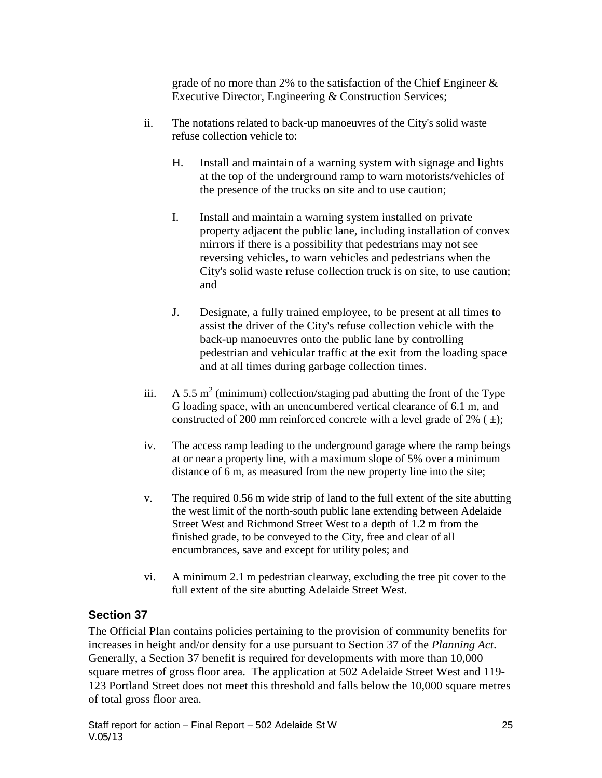grade of no more than 2% to the satisfaction of the Chief Engineer & Executive Director, Engineering & Construction Services;

- ii. The notations related to back-up manoeuvres of the City's solid waste refuse collection vehicle to:
	- H. Install and maintain of a warning system with signage and lights at the top of the underground ramp to warn motorists/vehicles of the presence of the trucks on site and to use caution;
	- I. Install and maintain a warning system installed on private property adjacent the public lane, including installation of convex mirrors if there is a possibility that pedestrians may not see reversing vehicles, to warn vehicles and pedestrians when the City's solid waste refuse collection truck is on site, to use caution; and
	- J. Designate, a fully trained employee, to be present at all times to assist the driver of the City's refuse collection vehicle with the back-up manoeuvres onto the public lane by controlling pedestrian and vehicular traffic at the exit from the loading space and at all times during garbage collection times.
- iii.  $A 5.5 m<sup>2</sup>$  (minimum) collection/staging pad abutting the front of the Type G loading space, with an unencumbered vertical clearance of 6.1 m, and constructed of 200 mm reinforced concrete with a level grade of 2%  $( \pm )$ ;
- iv. The access ramp leading to the underground garage where the ramp beings at or near a property line, with a maximum slope of 5% over a minimum distance of 6 m, as measured from the new property line into the site;
- v. The required 0.56 m wide strip of land to the full extent of the site abutting the west limit of the north-south public lane extending between Adelaide Street West and Richmond Street West to a depth of 1.2 m from the finished grade, to be conveyed to the City, free and clear of all encumbrances, save and except for utility poles; and
- vi. A minimum 2.1 m pedestrian clearway, excluding the tree pit cover to the full extent of the site abutting Adelaide Street West.

### **Section 37**

The Official Plan contains policies pertaining to the provision of community benefits for increases in height and/or density for a use pursuant to Section 37 of the *Planning Act*. Generally, a Section 37 benefit is required for developments with more than 10,000 square metres of gross floor area. The application at 502 Adelaide Street West and 119- 123 Portland Street does not meet this threshold and falls below the 10,000 square metres of total gross floor area.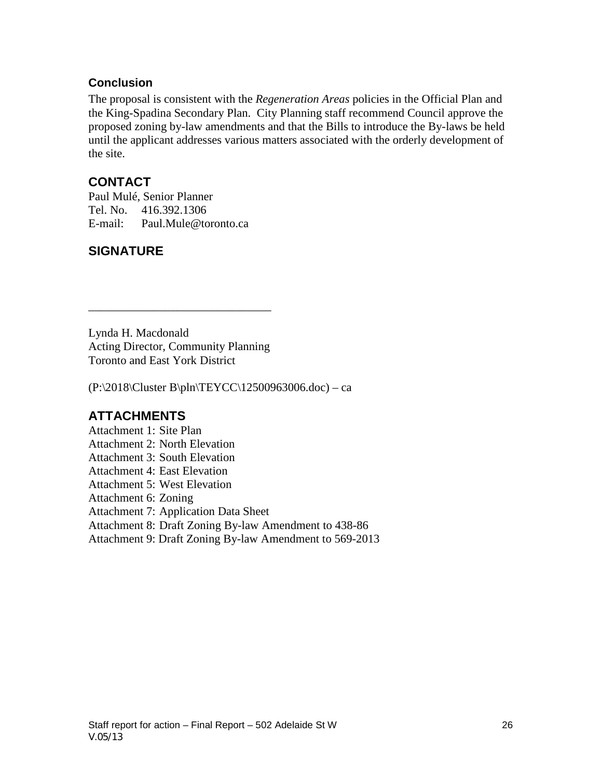#### **Conclusion**

The proposal is consistent with the *Regeneration Areas* policies in the Official Plan and the King-Spadina Secondary Plan. City Planning staff recommend Council approve the proposed zoning by-law amendments and that the Bills to introduce the By-laws be held until the applicant addresses various matters associated with the orderly development of the site.

### **CONTACT**

Paul Mulé, Senior Planner Tel. No. 416.392.1306 E-mail: Paul.Mule@toronto.ca

## **SIGNATURE**

Lynda H. Macdonald Acting Director, Community Planning Toronto and East York District

\_\_\_\_\_\_\_\_\_\_\_\_\_\_\_\_\_\_\_\_\_\_\_\_\_\_\_\_\_\_\_

(P:\2018\Cluster B\pln\TEYCC\12500963006.doc) – ca

## **ATTACHMENTS**

Attachment 1: Site Plan Attachment 2: North Elevation Attachment 3: South Elevation Attachment 4: East Elevation Attachment 5: West Elevation Attachment 6: Zoning Attachment 7: Application Data Sheet Attachment 8: Draft Zoning By-law Amendment to 438-86 Attachment 9: Draft Zoning By-law Amendment to 569-2013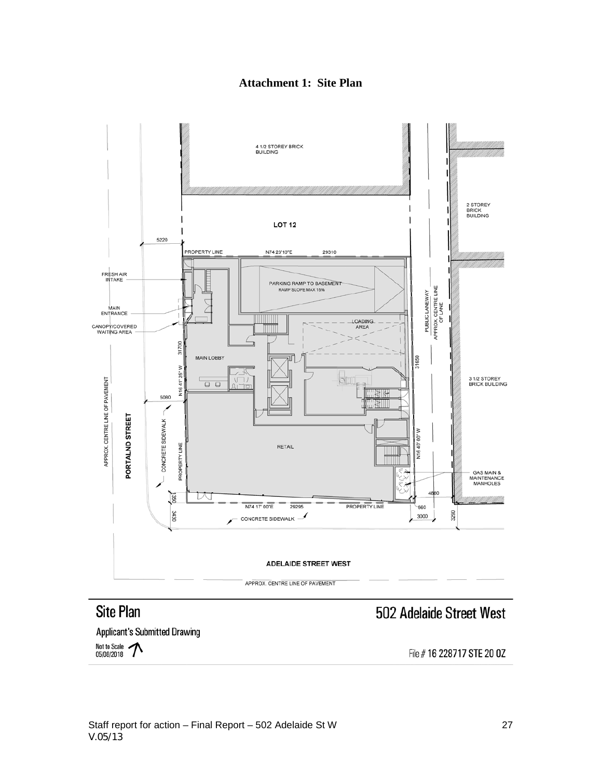

### **Attachment 1: Site Plan**

# **Site Plan**

## 502 Adelaide Street West

**Applicant's Submitted Drawing** Not to Scale >> 05/08/2018

File # 16 228717 STE 20 0Z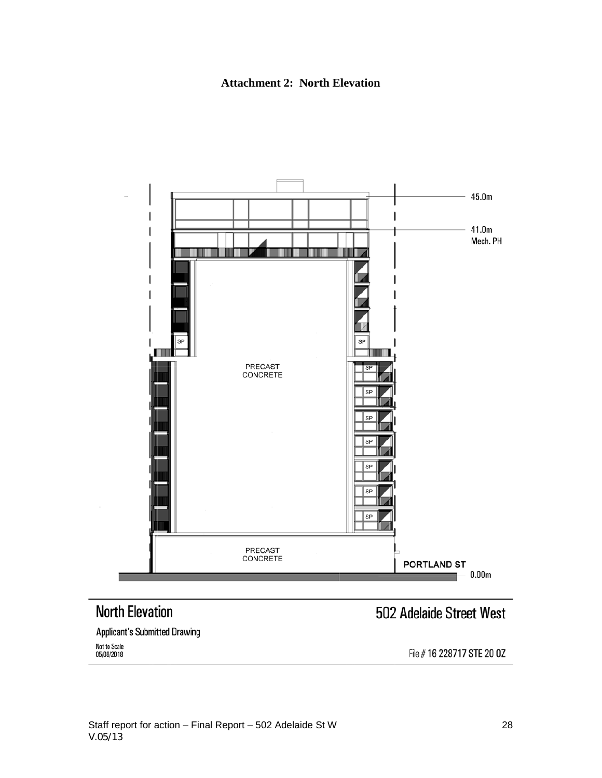



# **North Elevation**

# 502 Adelaide Street West

**Applicant's Submitted Drawing** Not to Scale<br>05/08/2018

File # 16 228717 STE 20 0Z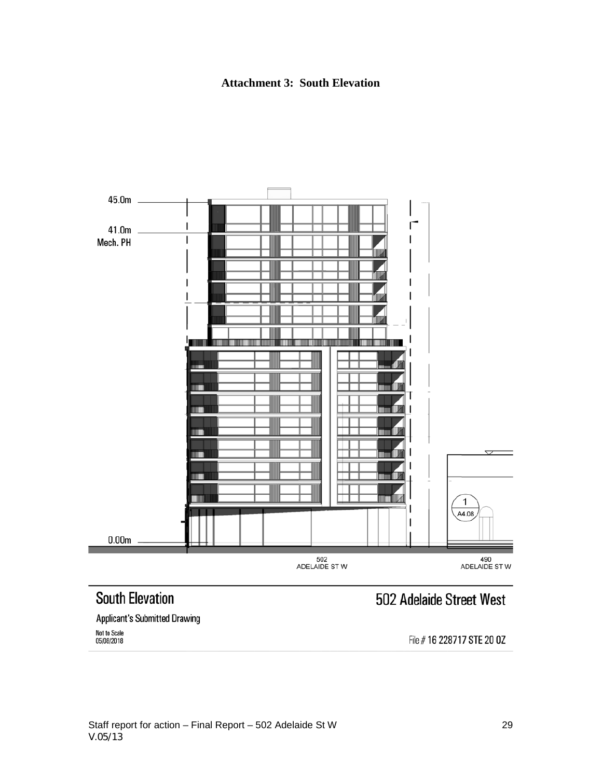#### **Attachment 3: South Elevation**



#### **Applicant's Submitted Drawing**

Not to Scale<br>05/08/2018

# File # 16 228717 STE 20 0Z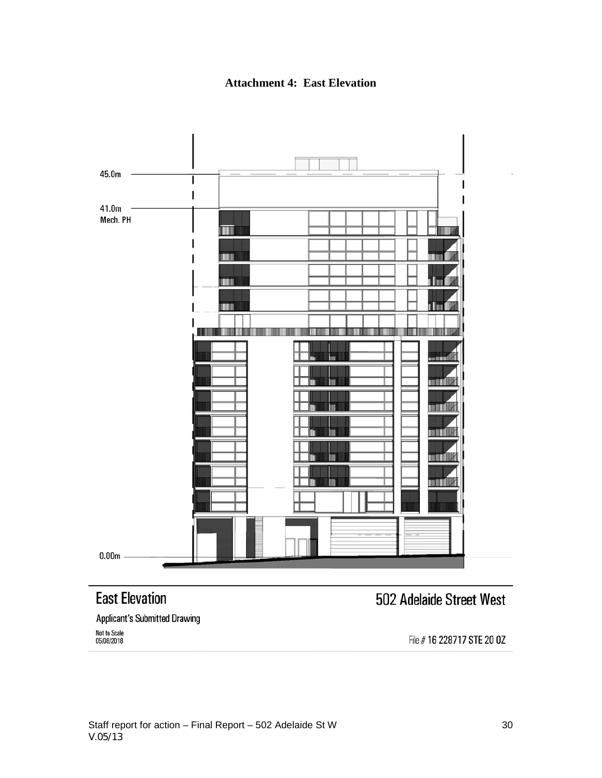**Attachment 4: East Elevation**



# **East Elevation**

# 502 Adelaide Street West

**Applicant's Submitted Drawing** 

Not to Scale 05/08/2018

File #16 228717 STE 20 0Z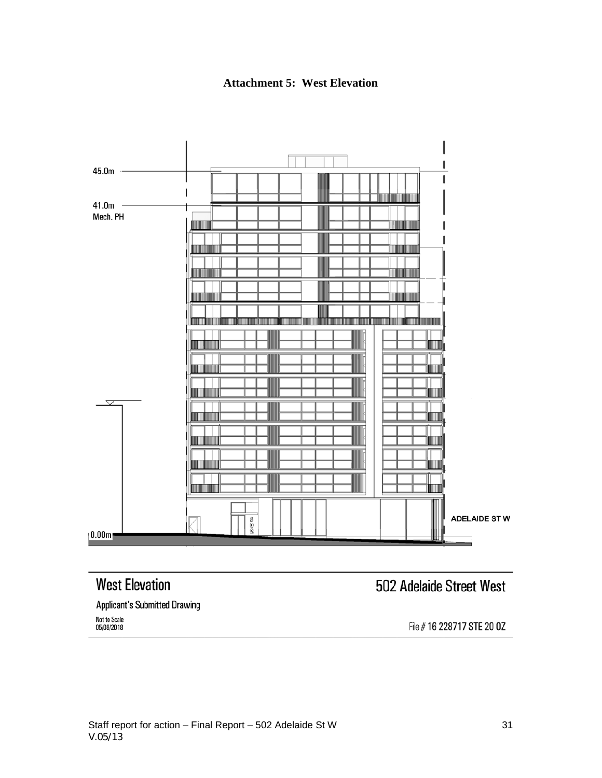**Attachment 5: West Elevation**



# **West Elevation**

# 502 Adelaide Street West

**Applicant's Submitted Drawing** 

Not to Scale<br>05/08/2018

File #16 228717 STE 20 0Z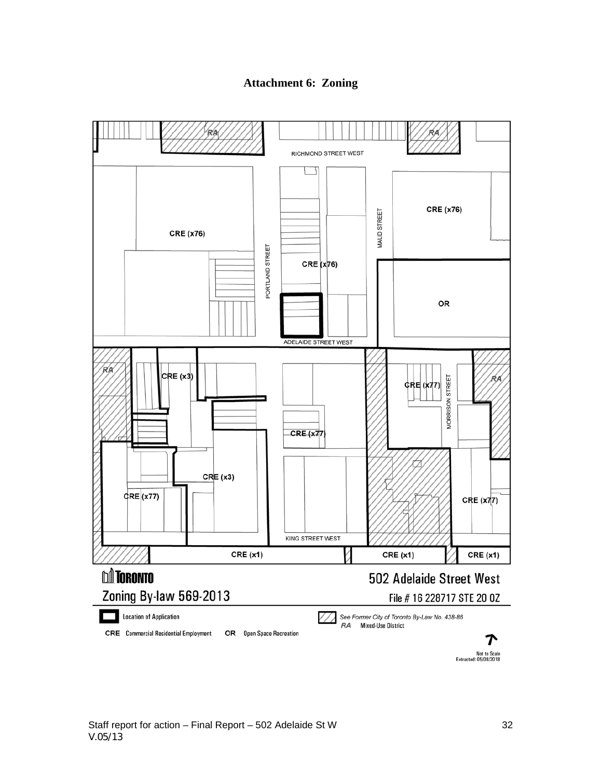#### **Attachment 6: Zoning**



Not to Scale<br>Extracted: 05/08/2018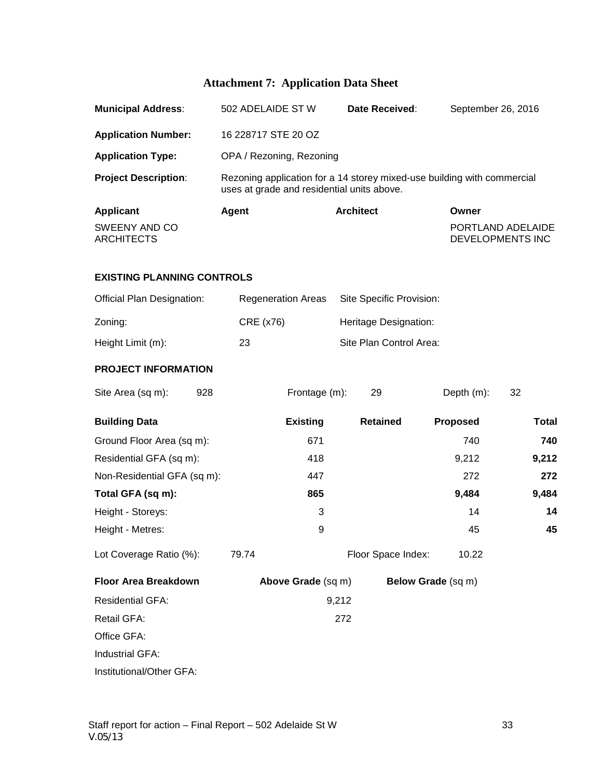## **Attachment 7: Application Data Sheet**

| <b>Municipal Address:</b>                 | 502 ADELAIDE ST W                                                                                                     | Date Received:           | September 26, 2016 |                                       |  |  |
|-------------------------------------------|-----------------------------------------------------------------------------------------------------------------------|--------------------------|--------------------|---------------------------------------|--|--|
| <b>Application Number:</b>                | 16 228717 STE 20 OZ                                                                                                   |                          |                    |                                       |  |  |
| <b>Application Type:</b>                  | OPA / Rezoning, Rezoning                                                                                              |                          |                    |                                       |  |  |
| <b>Project Description:</b>               | Rezoning application for a 14 storey mixed-use building with commercial<br>uses at grade and residential units above. |                          |                    |                                       |  |  |
| <b>Applicant</b>                          | <b>Architect</b><br>Agent                                                                                             |                          | Owner              |                                       |  |  |
| <b>SWEENY AND CO</b><br><b>ARCHITECTS</b> |                                                                                                                       |                          |                    | PORTLAND ADELAIDE<br>DEVELOPMENTS INC |  |  |
| <b>EXISTING PLANNING CONTROLS</b>         |                                                                                                                       |                          |                    |                                       |  |  |
| Official Plan Designation:                | <b>Regeneration Areas</b>                                                                                             | Site Specific Provision: |                    |                                       |  |  |
| Zoning:                                   | CRE (x76)                                                                                                             | Heritage Designation:    |                    |                                       |  |  |
| Height Limit (m):                         | 23                                                                                                                    | Site Plan Control Area:  |                    |                                       |  |  |
| <b>PROJECT INFORMATION</b>                |                                                                                                                       |                          |                    |                                       |  |  |
| 928<br>Site Area (sq m):                  | Frontage (m):                                                                                                         | 29                       | Depth (m):         | 32                                    |  |  |
| <b>Building Data</b>                      | <b>Existing</b>                                                                                                       | <b>Retained</b>          | <b>Proposed</b>    | <b>Total</b>                          |  |  |
| Ground Floor Area (sq m):                 | 671                                                                                                                   |                          | 740                | 740                                   |  |  |
| Residential GFA (sq m):                   | 418                                                                                                                   |                          | 9,212              | 9,212                                 |  |  |
| Non-Residential GFA (sq m):               | 447                                                                                                                   |                          | 272                | 272                                   |  |  |
| Total GFA (sq m):                         | 865                                                                                                                   |                          | 9,484              | 9,484                                 |  |  |
| Height - Storeys:                         | 3                                                                                                                     |                          | 14                 | 14                                    |  |  |
| Height - Metres:                          | 9                                                                                                                     |                          | 45                 | 45                                    |  |  |
| Lot Coverage Ratio (%):                   | 79.74                                                                                                                 | Floor Space Index:       | 10.22              |                                       |  |  |
| <b>Floor Area Breakdown</b>               | Above Grade (sq m)                                                                                                    | Below Grade (sq m)       |                    |                                       |  |  |
| <b>Residential GFA:</b>                   |                                                                                                                       | 9,212                    |                    |                                       |  |  |
| Retail GFA:                               |                                                                                                                       | 272                      |                    |                                       |  |  |
| Office GFA:                               |                                                                                                                       |                          |                    |                                       |  |  |
| Industrial GFA:                           |                                                                                                                       |                          |                    |                                       |  |  |
| Institutional/Other GFA:                  |                                                                                                                       |                          |                    |                                       |  |  |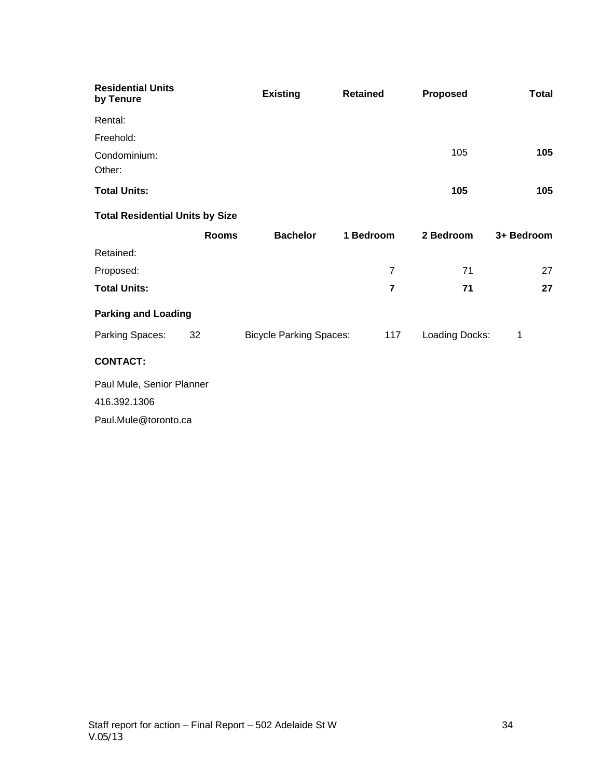| <b>Residential Units</b><br>by Tenure  |              | <b>Existing</b>                | <b>Retained</b> | <b>Proposed</b> | Total      |  |  |  |  |
|----------------------------------------|--------------|--------------------------------|-----------------|-----------------|------------|--|--|--|--|
| Rental:                                |              |                                |                 |                 |            |  |  |  |  |
| Freehold:                              |              |                                |                 |                 |            |  |  |  |  |
| Condominium:<br>Other:                 |              |                                |                 | 105             | 105        |  |  |  |  |
| <b>Total Units:</b>                    |              |                                |                 | 105             | 105        |  |  |  |  |
| <b>Total Residential Units by Size</b> |              |                                |                 |                 |            |  |  |  |  |
|                                        | <b>Rooms</b> | <b>Bachelor</b>                | 1 Bedroom       | 2 Bedroom       | 3+ Bedroom |  |  |  |  |
| Retained:                              |              |                                |                 |                 |            |  |  |  |  |
| Proposed:                              |              |                                | $\overline{7}$  | 71              | 27         |  |  |  |  |
| <b>Total Units:</b>                    |              |                                | $\overline{7}$  | 71              | 27         |  |  |  |  |
| <b>Parking and Loading</b>             |              |                                |                 |                 |            |  |  |  |  |
| Parking Spaces:                        | 32           | <b>Bicycle Parking Spaces:</b> | 117             | Loading Docks:  | 1          |  |  |  |  |
| <b>CONTACT:</b>                        |              |                                |                 |                 |            |  |  |  |  |
| Paul Mule, Senior Planner              |              |                                |                 |                 |            |  |  |  |  |

416.392.1306

Paul.Mule@toronto.ca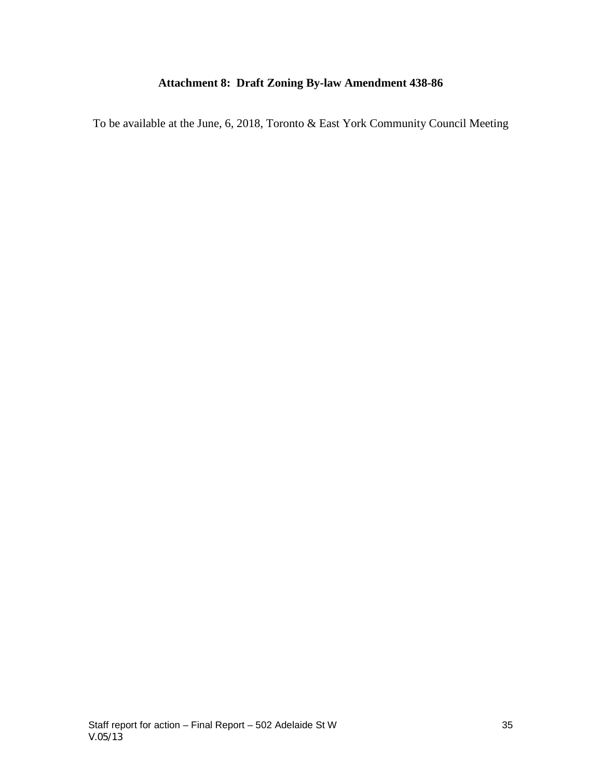## **Attachment 8: Draft Zoning By-law Amendment 438-86**

To be available at the June, 6, 2018, Toronto & East York Community Council Meeting